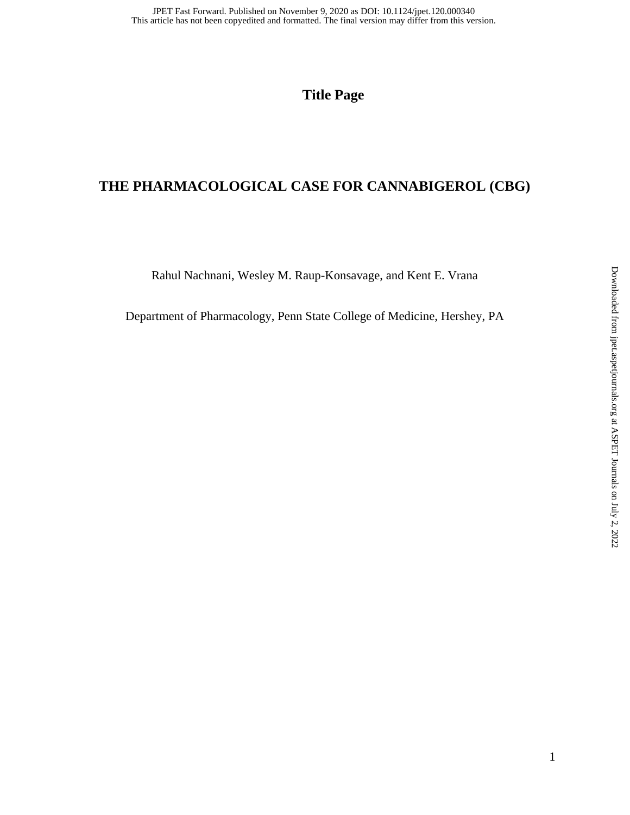**Title Page** 

## **THE PHARMACOLOGICAL CASE FOR CANNABIGEROL (CBG)**

Rahul Nachnani, Wesley M. Raup-Konsavage, and Kent E. Vrana

Department of Pharmacology, Penn State College of Medicine, Hershey, PA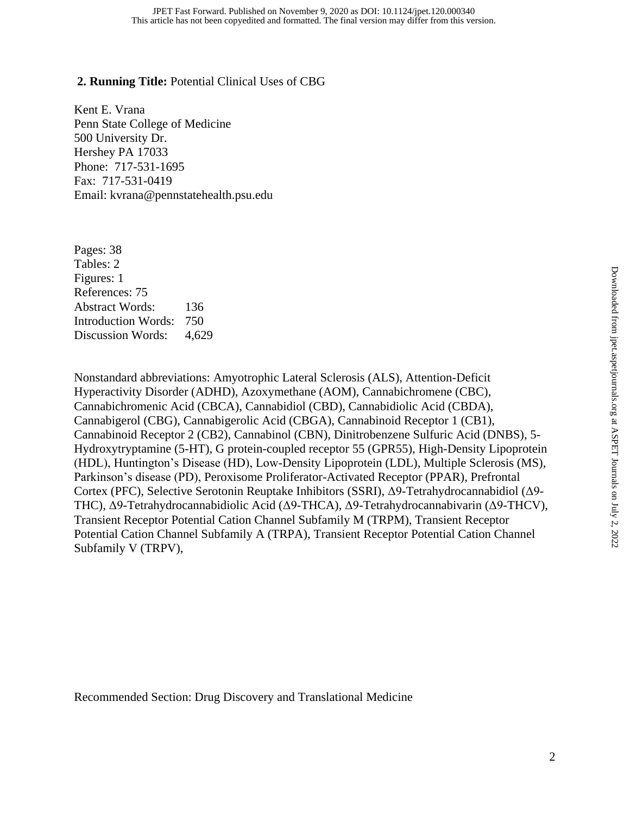#### **2. Running Title:** Potential Clinical Uses of CBG

Kent E. Vrana Penn State College of Medicine 500 University Dr. Hershey PA 17033 Phone: 717-531-1695 Fax: 717-531-0419 Email: kvrana@pennstatehealth.psu.edu

Pages: 38 Tables: 2 Figures: 1 References: 75 Abstract Words: 136 Introduction Words: 750 Discussion Words: 4,629

Nonstandard abbreviations: Amyotrophic Lateral Sclerosis (ALS), Attention-Deficit Hyperactivity Disorder (ADHD), Azoxymethane (AOM), Cannabichromene (CBC), Cannabichromenic Acid (CBCA), Cannabidiol (CBD), Cannabidiolic Acid (CBDA), Cannabigerol (CBG), Cannabigerolic Acid (CBGA), Cannabinoid Receptor 1 (CB1), Cannabinoid Receptor 2 (CB2), Cannabinol (CBN), Dinitrobenzene Sulfuric Acid (DNBS), 5- Hydroxytryptamine (5-HT), G protein-coupled receptor 55 (GPR55), High-Density Lipoprotein (HDL), Huntington's Disease (HD), Low-Density Lipoprotein (LDL), Multiple Sclerosis (MS), Parkinson's disease (PD), Peroxisome Proliferator-Activated Receptor (PPAR), Prefrontal Cortex (PFC), Selective Serotonin Reuptake Inhibitors (SSRI), Δ9-Tetrahydrocannabidiol (Δ9- THC), Δ9-Tetrahydrocannabidiolic Acid (Δ9-THCA), Δ9-Tetrahydrocannabivarin (Δ9-THCV), Transient Receptor Potential Cation Channel Subfamily M (TRPM), Transient Receptor Potential Cation Channel Subfamily A (TRPA), Transient Receptor Potential Cation Channel Subfamily V (TRPV),

Recommended Section: Drug Discovery and Translational Medicine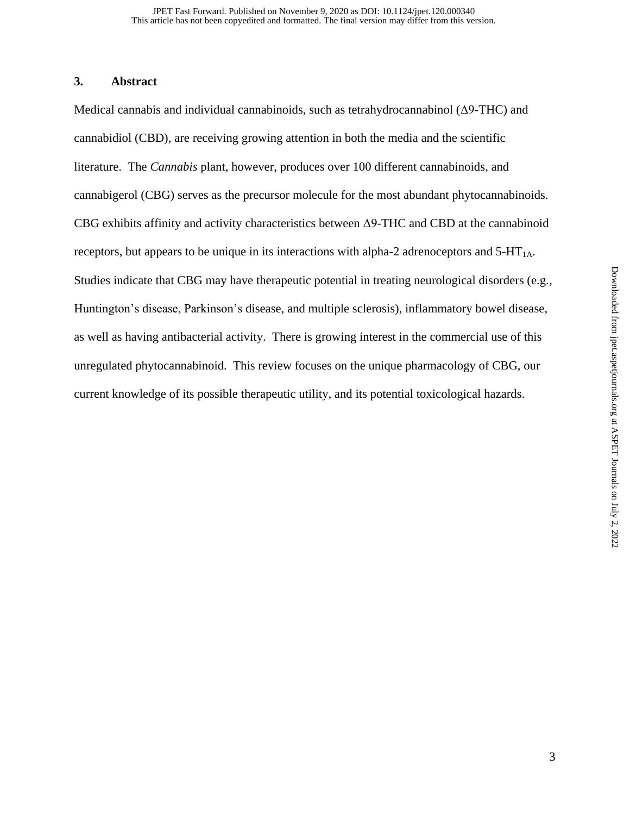#### **3. Abstract**

Medical cannabis and individual cannabinoids, such as tetrahydrocannabinol (Δ9-THC) and cannabidiol (CBD), are receiving growing attention in both the media and the scientific literature. The *Cannabis* plant, however, produces over 100 different cannabinoids, and cannabigerol (CBG) serves as the precursor molecule for the most abundant phytocannabinoids. CBG exhibits affinity and activity characteristics between Δ9-THC and CBD at the cannabinoid receptors, but appears to be unique in its interactions with alpha-2 adrenoceptors and  $5-HT<sub>1A</sub>$ . Studies indicate that CBG may have therapeutic potential in treating neurological disorders (e.g., Huntington's disease, Parkinson's disease, and multiple sclerosis), inflammatory bowel disease, as well as having antibacterial activity. There is growing interest in the commercial use of this unregulated phytocannabinoid. This review focuses on the unique pharmacology of CBG, our current knowledge of its possible therapeutic utility, and its potential toxicological hazards.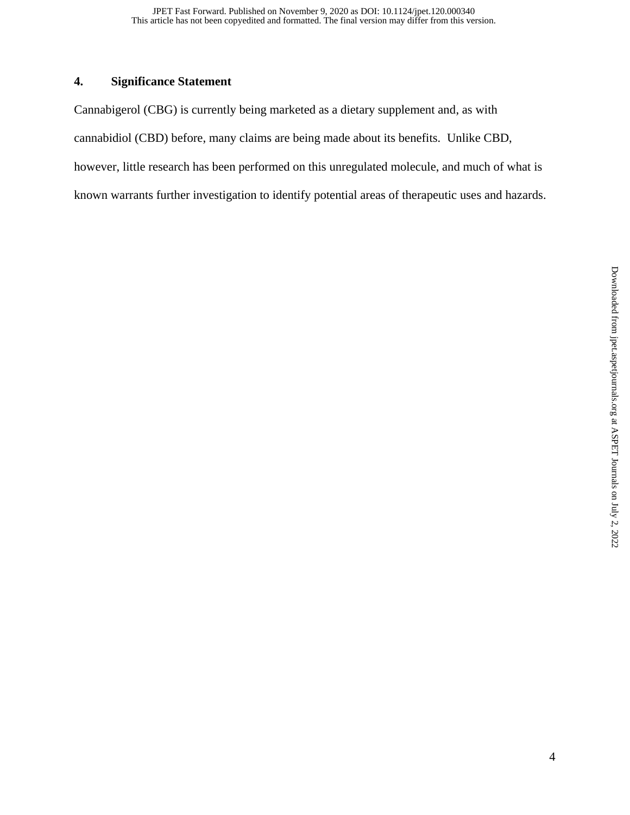## **4. Significance Statement**

Cannabigerol (CBG) is currently being marketed as a dietary supplement and, as with cannabidiol (CBD) before, many claims are being made about its benefits. Unlike CBD, however, little research has been performed on this unregulated molecule, and much of what is known warrants further investigation to identify potential areas of therapeutic uses and hazards.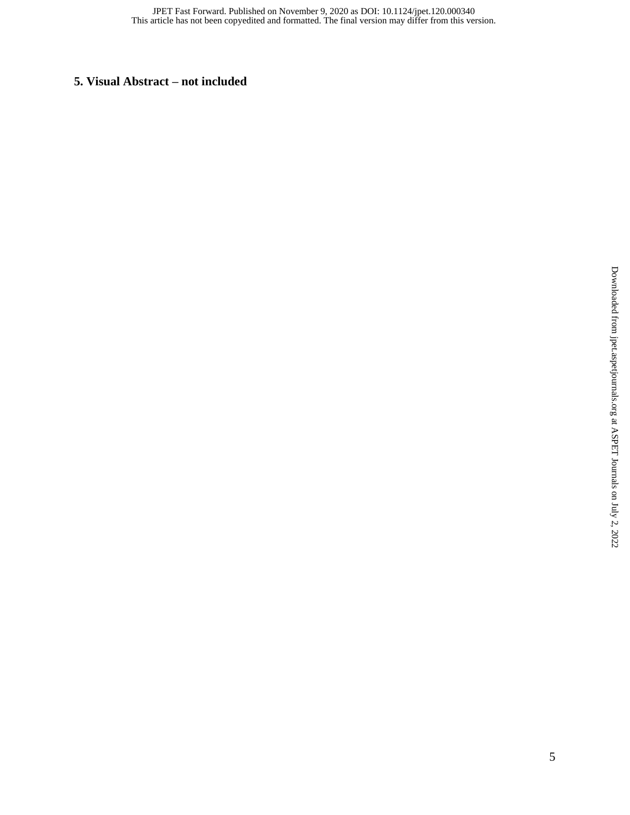## **5. Visual Abstract – not included**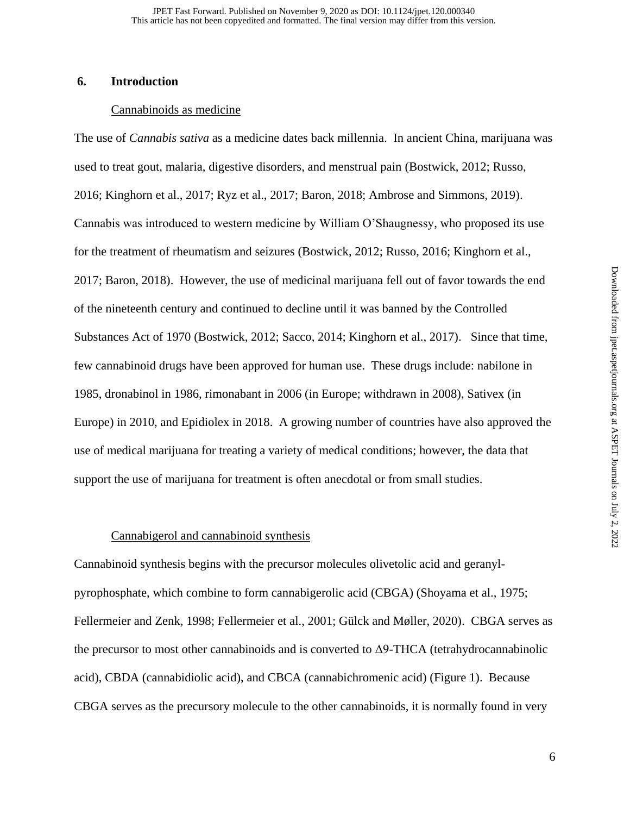#### **6. Introduction**

#### Cannabinoids as medicine

The use of *Cannabis sativa* as a medicine dates back millennia. In ancient China, marijuana was used to treat gout, malaria, digestive disorders, and menstrual pain (Bostwick, 2012; Russo, 2016; Kinghorn et al., 2017; Ryz et al., 2017; Baron, 2018; Ambrose and Simmons, 2019). Cannabis was introduced to western medicine by William O'Shaugnessy, who proposed its use for the treatment of rheumatism and seizures (Bostwick, 2012; Russo, 2016; Kinghorn et al., 2017; Baron, 2018). However, the use of medicinal marijuana fell out of favor towards the end of the nineteenth century and continued to decline until it was banned by the Controlled Substances Act of 1970 (Bostwick, 2012; Sacco, 2014; Kinghorn et al., 2017). Since that time, few cannabinoid drugs have been approved for human use. These drugs include: nabilone in 1985, dronabinol in 1986, rimonabant in 2006 (in Europe; withdrawn in 2008), Sativex (in Europe) in 2010, and Epidiolex in 2018. A growing number of countries have also approved the use of medical marijuana for treating a variety of medical conditions; however, the data that support the use of marijuana for treatment is often anecdotal or from small studies.

#### Cannabigerol and cannabinoid synthesis

Cannabinoid synthesis begins with the precursor molecules olivetolic acid and geranylpyrophosphate, which combine to form cannabigerolic acid (CBGA) (Shoyama et al., 1975; Fellermeier and Zenk, 1998; Fellermeier et al., 2001; Gülck and Møller, 2020). CBGA serves as the precursor to most other cannabinoids and is converted to  $\Delta$ 9-THCA (tetrahydrocannabinolic acid), CBDA (cannabidiolic acid), and CBCA (cannabichromenic acid) (Figure 1). Because CBGA serves as the precursory molecule to the other cannabinoids, it is normally found in very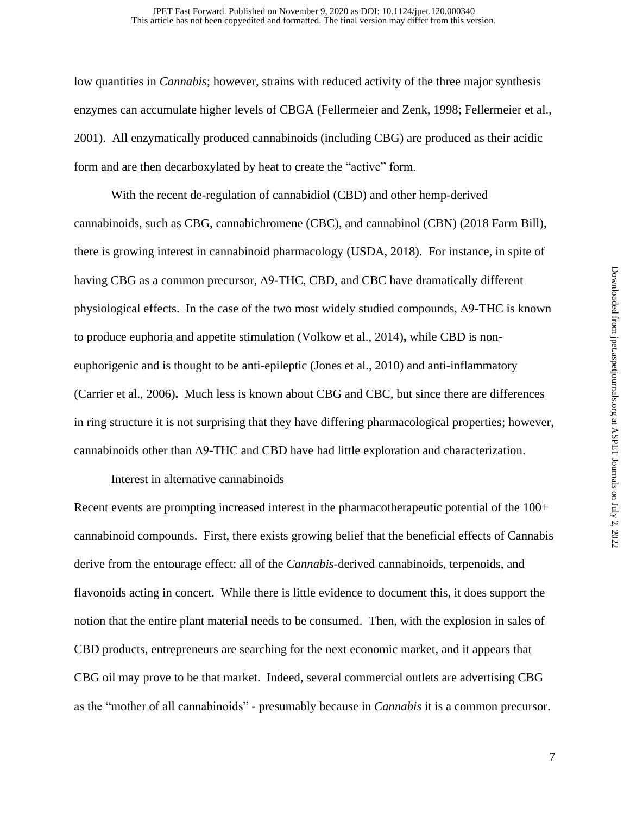low quantities in *Cannabis*; however, strains with reduced activity of the three major synthesis enzymes can accumulate higher levels of CBGA (Fellermeier and Zenk, 1998; Fellermeier et al., 2001). All enzymatically produced cannabinoids (including CBG) are produced as their acidic form and are then decarboxylated by heat to create the "active" form.

With the recent de-regulation of cannabidiol (CBD) and other hemp-derived cannabinoids, such as CBG, cannabichromene (CBC), and cannabinol (CBN) (2018 Farm Bill), there is growing interest in cannabinoid pharmacology (USDA, 2018). For instance, in spite of having CBG as a common precursor, Δ9-THC, CBD, and CBC have dramatically different physiological effects. In the case of the two most widely studied compounds, Δ9-THC is known to produce euphoria and appetite stimulation (Volkow et al., 2014)**,** while CBD is noneuphorigenic and is thought to be anti-epileptic (Jones et al., 2010) and anti-inflammatory (Carrier et al., 2006)**.** Much less is known about CBG and CBC, but since there are differences in ring structure it is not surprising that they have differing pharmacological properties; however, cannabinoids other than Δ9-THC and CBD have had little exploration and characterization.

#### Interest in alternative cannabinoids

Recent events are prompting increased interest in the pharmacotherapeutic potential of the 100+ cannabinoid compounds. First, there exists growing belief that the beneficial effects of Cannabis derive from the entourage effect: all of the *Cannabis*-derived cannabinoids, terpenoids, and flavonoids acting in concert. While there is little evidence to document this, it does support the notion that the entire plant material needs to be consumed. Then, with the explosion in sales of CBD products, entrepreneurs are searching for the next economic market, and it appears that CBG oil may prove to be that market. Indeed, several commercial outlets are advertising CBG as the "mother of all cannabinoids" - presumably because in *Cannabis* it is a common precursor.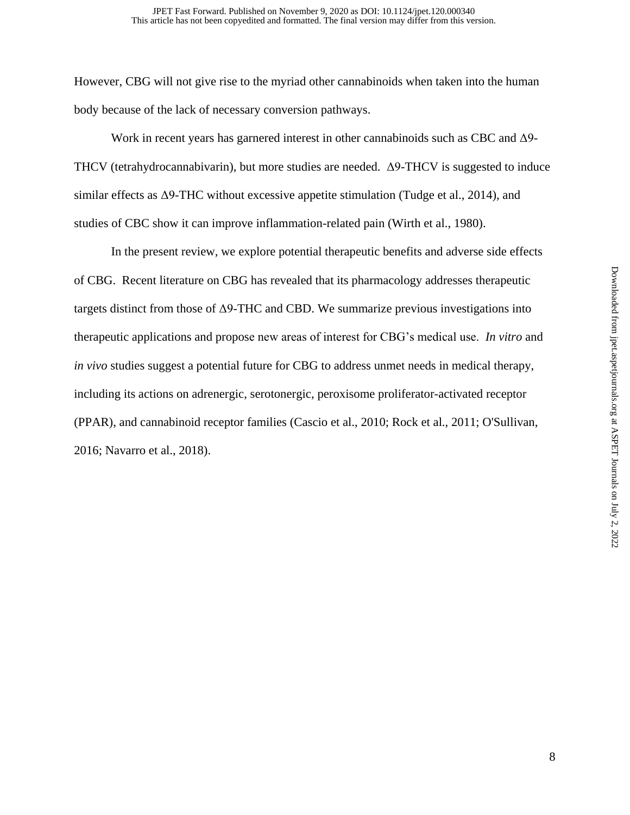However, CBG will not give rise to the myriad other cannabinoids when taken into the human body because of the lack of necessary conversion pathways.

Work in recent years has garnered interest in other cannabinoids such as CBC and Δ9- THCV (tetrahydrocannabivarin), but more studies are needed. Δ9-THCV is suggested to induce similar effects as Δ9-THC without excessive appetite stimulation (Tudge et al., 2014), and studies of CBC show it can improve inflammation-related pain (Wirth et al., 1980).

In the present review, we explore potential therapeutic benefits and adverse side effects of CBG. Recent literature on CBG has revealed that its pharmacology addresses therapeutic targets distinct from those of  $\Delta$ 9-THC and CBD. We summarize previous investigations into therapeutic applications and propose new areas of interest for CBG's medical use. *In vitro* and *in vivo* studies suggest a potential future for CBG to address unmet needs in medical therapy, including its actions on adrenergic, serotonergic, peroxisome proliferator-activated receptor (PPAR), and cannabinoid receptor families (Cascio et al., 2010; Rock et al., 2011; O'Sullivan, 2016; Navarro et al., 2018).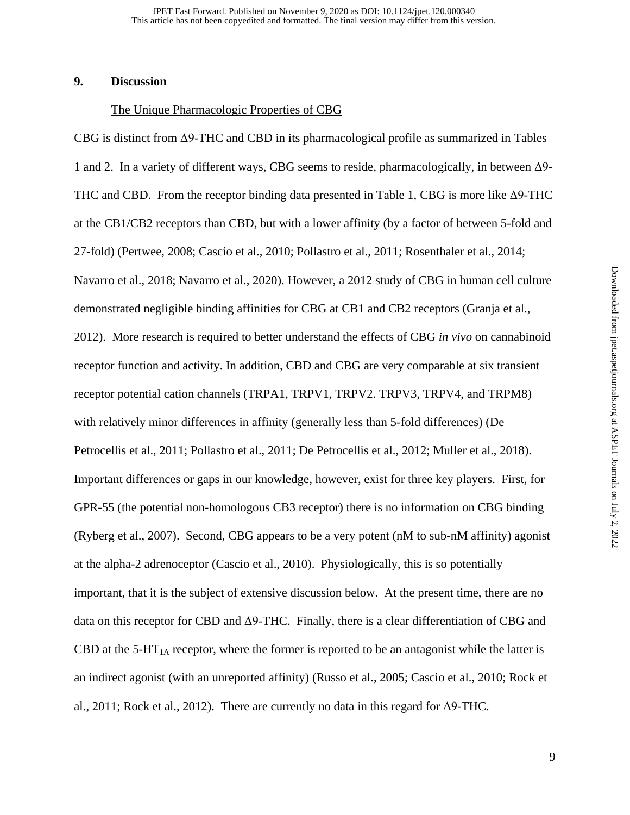#### **9. Discussion**

#### The Unique Pharmacologic Properties of CBG

CBG is distinct from Δ9-THC and CBD in its pharmacological profile as summarized in Tables 1 and 2. In a variety of different ways, CBG seems to reside, pharmacologically, in between Δ9- THC and CBD. From the receptor binding data presented in Table 1, CBG is more like Δ9-THC at the CB1/CB2 receptors than CBD, but with a lower affinity (by a factor of between 5-fold and 27-fold) (Pertwee, 2008; Cascio et al., 2010; Pollastro et al., 2011; Rosenthaler et al., 2014; Navarro et al., 2018; Navarro et al., 2020). However, a 2012 study of CBG in human cell culture demonstrated negligible binding affinities for CBG at CB1 and CB2 receptors (Granja et al., 2012). More research is required to better understand the effects of CBG *in vivo* on cannabinoid receptor function and activity. In addition, CBD and CBG are very comparable at six transient receptor potential cation channels (TRPA1, TRPV1, TRPV2. TRPV3, TRPV4, and TRPM8) with relatively minor differences in affinity (generally less than 5-fold differences) (De Petrocellis et al., 2011; Pollastro et al., 2011; De Petrocellis et al., 2012; Muller et al., 2018). Important differences or gaps in our knowledge, however, exist for three key players. First, for GPR-55 (the potential non-homologous CB3 receptor) there is no information on CBG binding (Ryberg et al., 2007). Second, CBG appears to be a very potent (nM to sub-nM affinity) agonist at the alpha-2 adrenoceptor (Cascio et al., 2010). Physiologically, this is so potentially important, that it is the subject of extensive discussion below. At the present time, there are no data on this receptor for CBD and Δ9-THC. Finally, there is a clear differentiation of CBG and CBD at the 5-HT<sub>1A</sub> receptor, where the former is reported to be an antagonist while the latter is an indirect agonist (with an unreported affinity) (Russo et al., 2005; Cascio et al., 2010; Rock et al., 2011; Rock et al., 2012). There are currently no data in this regard for Δ9-THC.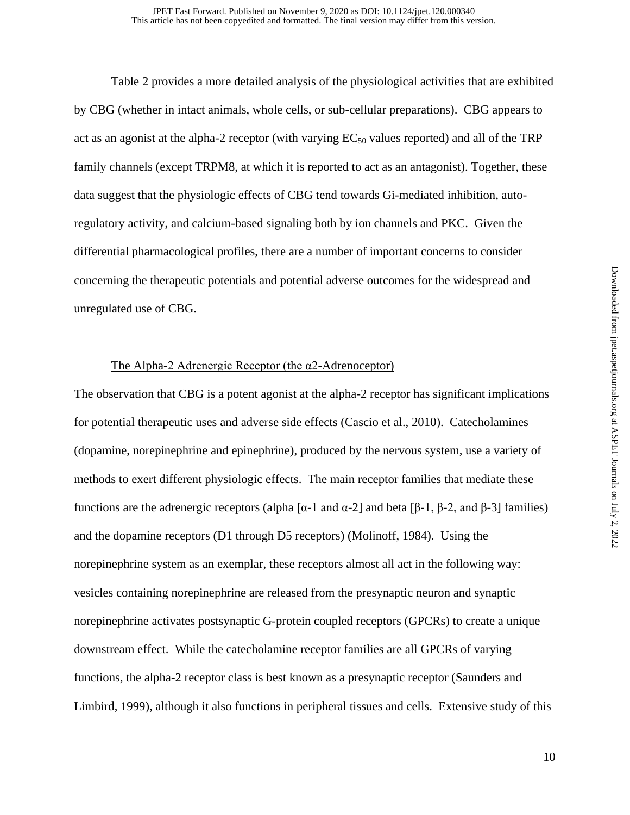Table 2 provides a more detailed analysis of the physiological activities that are exhibited by CBG (whether in intact animals, whole cells, or sub-cellular preparations). CBG appears to act as an agonist at the alpha-2 receptor (with varying  $EC_{50}$  values reported) and all of the TRP family channels (except TRPM8, at which it is reported to act as an antagonist). Together, these data suggest that the physiologic effects of CBG tend towards Gi-mediated inhibition, autoregulatory activity, and calcium-based signaling both by ion channels and PKC. Given the differential pharmacological profiles, there are a number of important concerns to consider concerning the therapeutic potentials and potential adverse outcomes for the widespread and unregulated use of CBG.

#### The Alpha-2 Adrenergic Receptor (the α2-Adrenoceptor)

The observation that CBG is a potent agonist at the alpha-2 receptor has significant implications for potential therapeutic uses and adverse side effects (Cascio et al., 2010). Catecholamines (dopamine, norepinephrine and epinephrine), produced by the nervous system, use a variety of methods to exert different physiologic effects. The main receptor families that mediate these functions are the adrenergic receptors (alpha [α-1 and α-2] and beta [β-1, β-2, and β-3] families) and the dopamine receptors (D1 through D5 receptors) (Molinoff, 1984). Using the norepinephrine system as an exemplar, these receptors almost all act in the following way: vesicles containing norepinephrine are released from the presynaptic neuron and synaptic norepinephrine activates postsynaptic G-protein coupled receptors (GPCRs) to create a unique downstream effect. While the catecholamine receptor families are all GPCRs of varying functions, the alpha-2 receptor class is best known as a presynaptic receptor (Saunders and Limbird, 1999), although it also functions in peripheral tissues and cells. Extensive study of this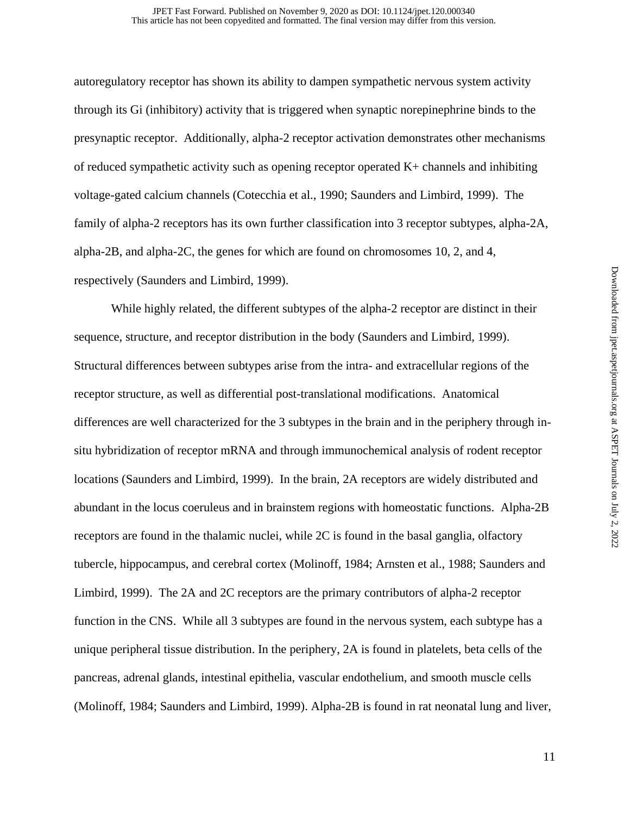autoregulatory receptor has shown its ability to dampen sympathetic nervous system activity through its Gi (inhibitory) activity that is triggered when synaptic norepinephrine binds to the presynaptic receptor. Additionally, alpha-2 receptor activation demonstrates other mechanisms of reduced sympathetic activity such as opening receptor operated K+ channels and inhibiting voltage-gated calcium channels (Cotecchia et al., 1990; Saunders and Limbird, 1999). The family of alpha-2 receptors has its own further classification into 3 receptor subtypes, alpha-2A, alpha-2B, and alpha-2C, the genes for which are found on chromosomes 10, 2, and 4, respectively (Saunders and Limbird, 1999).

While highly related, the different subtypes of the alpha-2 receptor are distinct in their sequence, structure, and receptor distribution in the body (Saunders and Limbird, 1999). Structural differences between subtypes arise from the intra- and extracellular regions of the receptor structure, as well as differential post-translational modifications. Anatomical differences are well characterized for the 3 subtypes in the brain and in the periphery through insitu hybridization of receptor mRNA and through immunochemical analysis of rodent receptor locations (Saunders and Limbird, 1999). In the brain, 2A receptors are widely distributed and abundant in the locus coeruleus and in brainstem regions with homeostatic functions. Alpha-2B receptors are found in the thalamic nuclei, while 2C is found in the basal ganglia, olfactory tubercle, hippocampus, and cerebral cortex (Molinoff, 1984; Arnsten et al., 1988; Saunders and Limbird, 1999). The 2A and 2C receptors are the primary contributors of alpha-2 receptor function in the CNS. While all 3 subtypes are found in the nervous system, each subtype has a unique peripheral tissue distribution. In the periphery, 2A is found in platelets, beta cells of the pancreas, adrenal glands, intestinal epithelia, vascular endothelium, and smooth muscle cells (Molinoff, 1984; Saunders and Limbird, 1999). Alpha-2B is found in rat neonatal lung and liver,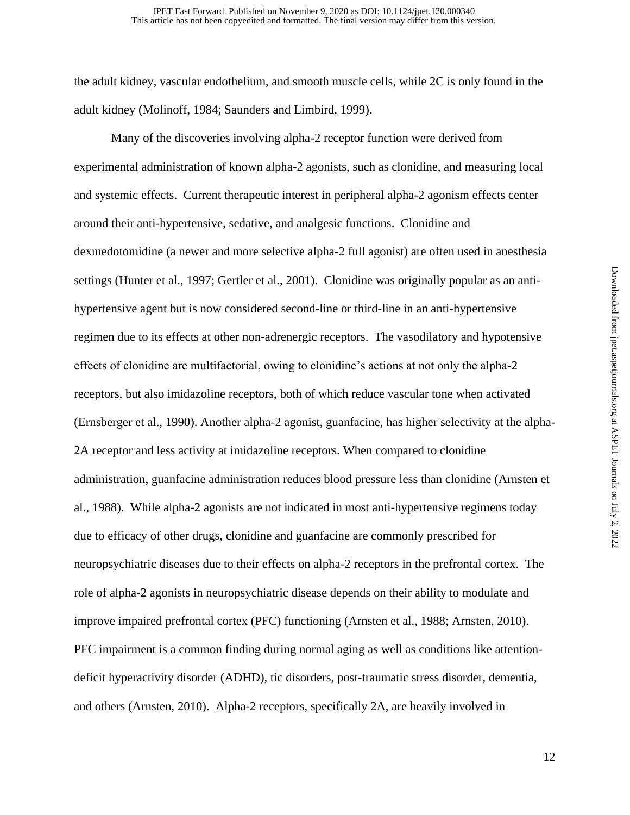the adult kidney, vascular endothelium, and smooth muscle cells, while 2C is only found in the adult kidney (Molinoff, 1984; Saunders and Limbird, 1999).

Many of the discoveries involving alpha-2 receptor function were derived from experimental administration of known alpha-2 agonists, such as clonidine, and measuring local and systemic effects. Current therapeutic interest in peripheral alpha-2 agonism effects center around their anti-hypertensive, sedative, and analgesic functions. Clonidine and dexmedotomidine (a newer and more selective alpha-2 full agonist) are often used in anesthesia settings (Hunter et al., 1997; Gertler et al., 2001). Clonidine was originally popular as an antihypertensive agent but is now considered second-line or third-line in an anti-hypertensive regimen due to its effects at other non-adrenergic receptors. The vasodilatory and hypotensive effects of clonidine are multifactorial, owing to clonidine's actions at not only the alpha-2 receptors, but also imidazoline receptors, both of which reduce vascular tone when activated (Ernsberger et al., 1990). Another alpha-2 agonist, guanfacine, has higher selectivity at the alpha-2A receptor and less activity at imidazoline receptors. When compared to clonidine administration, guanfacine administration reduces blood pressure less than clonidine (Arnsten et al., 1988). While alpha-2 agonists are not indicated in most anti-hypertensive regimens today due to efficacy of other drugs, clonidine and guanfacine are commonly prescribed for neuropsychiatric diseases due to their effects on alpha-2 receptors in the prefrontal cortex. The role of alpha-2 agonists in neuropsychiatric disease depends on their ability to modulate and improve impaired prefrontal cortex (PFC) functioning (Arnsten et al., 1988; Arnsten, 2010). PFC impairment is a common finding during normal aging as well as conditions like attentiondeficit hyperactivity disorder (ADHD), tic disorders, post-traumatic stress disorder, dementia, and others (Arnsten, 2010). Alpha-2 receptors, specifically 2A, are heavily involved in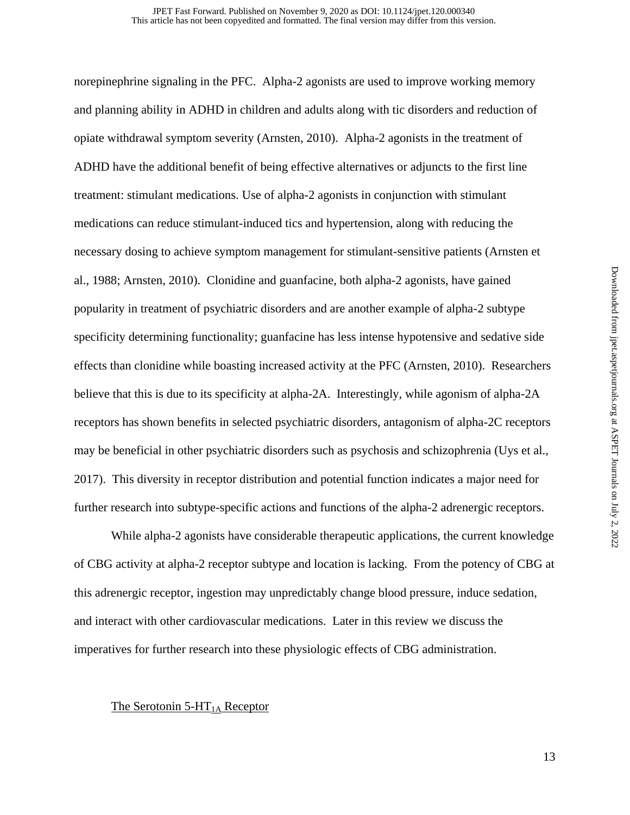norepinephrine signaling in the PFC. Alpha-2 agonists are used to improve working memory and planning ability in ADHD in children and adults along with tic disorders and reduction of opiate withdrawal symptom severity (Arnsten, 2010). Alpha-2 agonists in the treatment of ADHD have the additional benefit of being effective alternatives or adjuncts to the first line treatment: stimulant medications. Use of alpha-2 agonists in conjunction with stimulant medications can reduce stimulant-induced tics and hypertension, along with reducing the necessary dosing to achieve symptom management for stimulant-sensitive patients (Arnsten et al., 1988; Arnsten, 2010). Clonidine and guanfacine, both alpha-2 agonists, have gained popularity in treatment of psychiatric disorders and are another example of alpha-2 subtype specificity determining functionality; guanfacine has less intense hypotensive and sedative side effects than clonidine while boasting increased activity at the PFC (Arnsten, 2010). Researchers believe that this is due to its specificity at alpha-2A. Interestingly, while agonism of alpha-2A receptors has shown benefits in selected psychiatric disorders, antagonism of alpha-2C receptors may be beneficial in other psychiatric disorders such as psychosis and schizophrenia (Uys et al., 2017). This diversity in receptor distribution and potential function indicates a major need for further research into subtype-specific actions and functions of the alpha-2 adrenergic receptors.

 While alpha-2 agonists have considerable therapeutic applications, the current knowledge of CBG activity at alpha-2 receptor subtype and location is lacking. From the potency of CBG at this adrenergic receptor, ingestion may unpredictably change blood pressure, induce sedation, and interact with other cardiovascular medications. Later in this review we discuss the imperatives for further research into these physiologic effects of CBG administration.

#### The Serotonin  $5-HT<sub>1A</sub>$  Receptor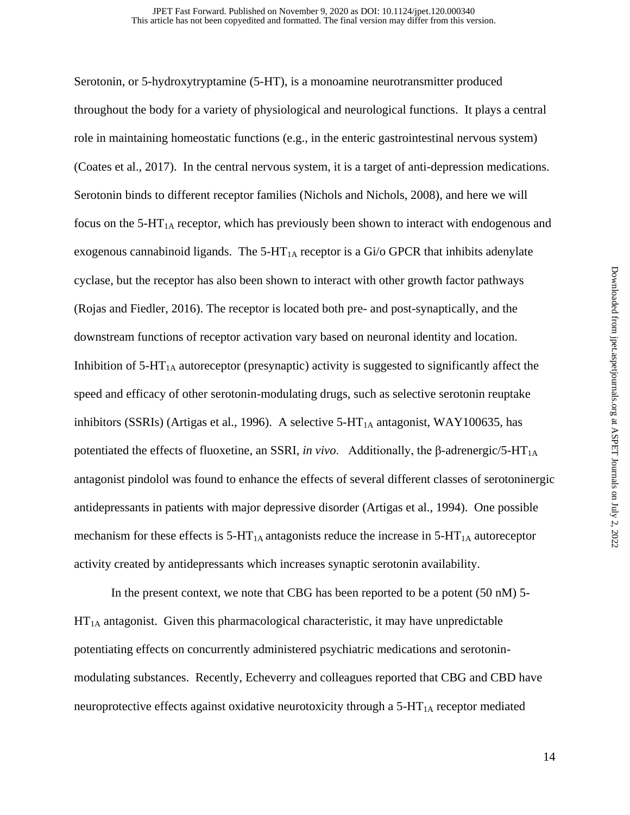Serotonin, or 5-hydroxytryptamine (5-HT), is a monoamine neurotransmitter produced throughout the body for a variety of physiological and neurological functions. It plays a central role in maintaining homeostatic functions (e.g., in the enteric gastrointestinal nervous system) (Coates et al., 2017). In the central nervous system, it is a target of anti-depression medications. Serotonin binds to different receptor families (Nichols and Nichols, 2008), and here we will focus on the  $5-HT<sub>1A</sub>$  receptor, which has previously been shown to interact with endogenous and exogenous cannabinoid ligands. The  $5-HT<sub>1A</sub>$  receptor is a Gi/o GPCR that inhibits adenylate cyclase, but the receptor has also been shown to interact with other growth factor pathways (Rojas and Fiedler, 2016). The receptor is located both pre- and post-synaptically, and the downstream functions of receptor activation vary based on neuronal identity and location. Inhibition of  $5-HT_{1A}$  autoreceptor (presynaptic) activity is suggested to significantly affect the speed and efficacy of other serotonin-modulating drugs, such as selective serotonin reuptake inhibitors (SSRIs) (Artigas et al., 1996). A selective  $5-HT<sub>1A</sub>$  antagonist, WAY100635, has potentiated the effects of fluoxetine, an SSRI, *in vivo*. Additionally, the β-adrenergic/5-HT<sub>1A</sub> antagonist pindolol was found to enhance the effects of several different classes of serotoninergic antidepressants in patients with major depressive disorder (Artigas et al., 1994). One possible mechanism for these effects is  $5-HT_{1A}$  antagonists reduce the increase in  $5-HT_{1A}$  autoreceptor activity created by antidepressants which increases synaptic serotonin availability.

In the present context, we note that CBG has been reported to be a potent (50 nM) 5-  $HT<sub>1A</sub>$  antagonist. Given this pharmacological characteristic, it may have unpredictable potentiating effects on concurrently administered psychiatric medications and serotoninmodulating substances. Recently, Echeverry and colleagues reported that CBG and CBD have neuroprotective effects against oxidative neurotoxicity through a  $5-HT<sub>1A</sub>$  receptor mediated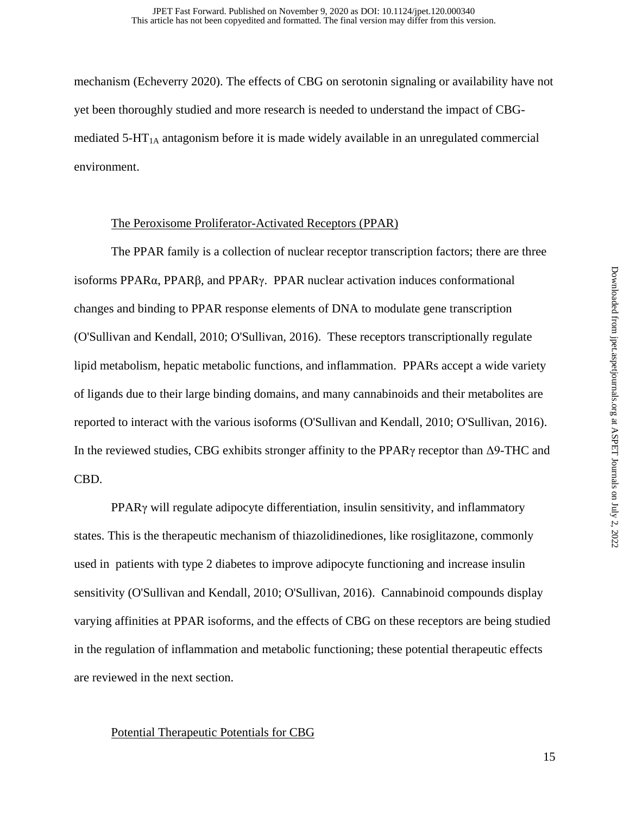mechanism (Echeverry 2020). The effects of CBG on serotonin signaling or availability have not yet been thoroughly studied and more research is needed to understand the impact of CBGmediated  $5-HT_{1A}$  antagonism before it is made widely available in an unregulated commercial environment.

#### The Peroxisome Proliferator-Activated Receptors (PPAR)

The PPAR family is a collection of nuclear receptor transcription factors; there are three isoforms PPAR $\alpha$ , PPAR $\beta$ , and PPAR $\gamma$ . PPAR nuclear activation induces conformational changes and binding to PPAR response elements of DNA to modulate gene transcription (O'Sullivan and Kendall, 2010; O'Sullivan, 2016). These receptors transcriptionally regulate lipid metabolism, hepatic metabolic functions, and inflammation. PPARs accept a wide variety of ligands due to their large binding domains, and many cannabinoids and their metabolites are reported to interact with the various isoforms (O'Sullivan and Kendall, 2010; O'Sullivan, 2016). In the reviewed studies, CBG exhibits stronger affinity to the PPARγ receptor than Δ9-THC and CBD.

PPARγ will regulate adipocyte differentiation, insulin sensitivity, and inflammatory states. This is the therapeutic mechanism of thiazolidinediones, like rosiglitazone, commonly used in patients with type 2 diabetes to improve adipocyte functioning and increase insulin sensitivity (O'Sullivan and Kendall, 2010; O'Sullivan, 2016). Cannabinoid compounds display varying affinities at PPAR isoforms, and the effects of CBG on these receptors are being studied in the regulation of inflammation and metabolic functioning; these potential therapeutic effects are reviewed in the next section.

#### Potential Therapeutic Potentials for CBG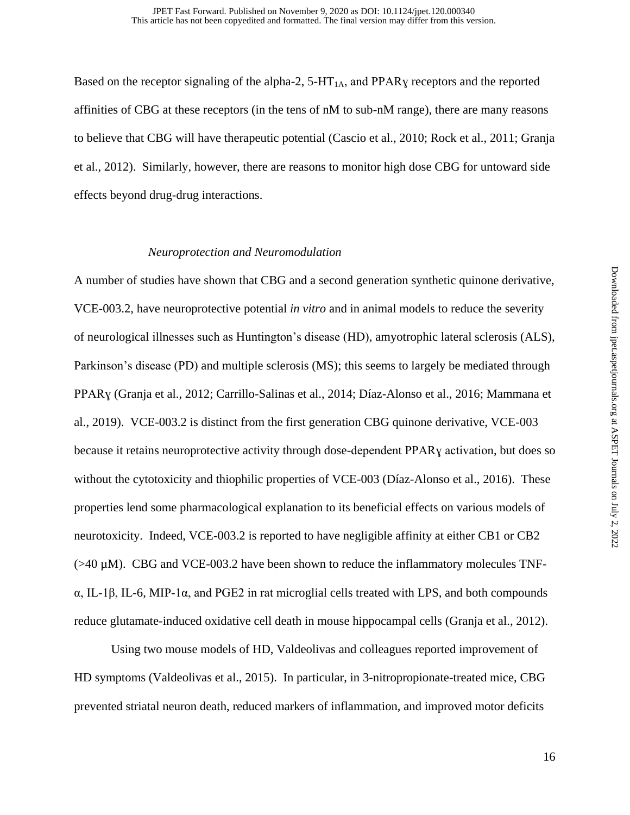Based on the receptor signaling of the alpha-2,  $5-HT<sub>1A</sub>$ , and PPAR<sub>V</sub> receptors and the reported affinities of CBG at these receptors (in the tens of nM to sub-nM range), there are many reasons to believe that CBG will have therapeutic potential (Cascio et al., 2010; Rock et al., 2011; Granja et al., 2012). Similarly, however, there are reasons to monitor high dose CBG for untoward side effects beyond drug-drug interactions.

#### *Neuroprotection and Neuromodulation*

A number of studies have shown that CBG and a second generation synthetic quinone derivative, VCE-003.2, have neuroprotective potential *in vitro* and in animal models to reduce the severity of neurological illnesses such as Huntington's disease (HD), amyotrophic lateral sclerosis (ALS), Parkinson's disease (PD) and multiple sclerosis (MS); this seems to largely be mediated through PPARɣ (Granja et al., 2012; Carrillo-Salinas et al., 2014; Díaz-Alonso et al., 2016; Mammana et al., 2019). VCE-003.2 is distinct from the first generation CBG quinone derivative, VCE-003 because it retains neuroprotective activity through dose-dependent PPARɣ activation, but does so without the cytotoxicity and thiophilic properties of VCE-003 (Díaz-Alonso et al., 2016). These properties lend some pharmacological explanation to its beneficial effects on various models of neurotoxicity. Indeed, VCE-003.2 is reported to have negligible affinity at either CB1 or CB2  $(>40 \mu M)$ . CBG and VCE-003.2 have been shown to reduce the inflammatory molecules TNFα, IL-1β, IL-6, MIP-1α, and PGE2 in rat microglial cells treated with LPS, and both compounds reduce glutamate-induced oxidative cell death in mouse hippocampal cells (Granja et al., 2012).

Using two mouse models of HD, Valdeolivas and colleagues reported improvement of HD symptoms (Valdeolivas et al., 2015). In particular, in 3-nitropropionate-treated mice, CBG prevented striatal neuron death, reduced markers of inflammation, and improved motor deficits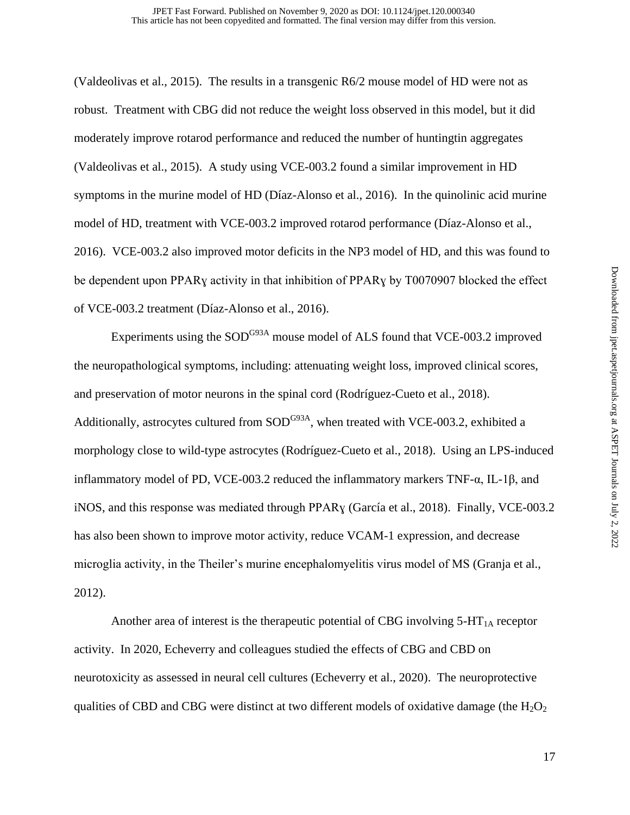(Valdeolivas et al., 2015). The results in a transgenic R6/2 mouse model of HD were not as robust. Treatment with CBG did not reduce the weight loss observed in this model, but it did moderately improve rotarod performance and reduced the number of huntingtin aggregates (Valdeolivas et al., 2015). A study using VCE-003.2 found a similar improvement in HD symptoms in the murine model of HD (Díaz-Alonso et al., 2016). In the quinolinic acid murine model of HD, treatment with VCE-003.2 improved rotarod performance (Díaz-Alonso et al., 2016). VCE-003.2 also improved motor deficits in the NP3 model of HD, and this was found to be dependent upon PPARɣ activity in that inhibition of PPARɣ by T0070907 blocked the effect of VCE-003.2 treatment (Díaz-Alonso et al., 2016).

Experiments using the  $SOD^{G93A}$  mouse model of ALS found that VCE-003.2 improved the neuropathological symptoms, including: attenuating weight loss, improved clinical scores, and preservation of motor neurons in the spinal cord (Rodríguez-Cueto et al., 2018). Additionally, astrocytes cultured from  $SOD^{G93A}$ , when treated with VCE-003.2, exhibited a morphology close to wild-type astrocytes (Rodríguez-Cueto et al., 2018). Using an LPS-induced inflammatory model of PD, VCE-003.2 reduced the inflammatory markers TNF-α, IL-1β, and iNOS, and this response was mediated through PPARɣ (García et al., 2018). Finally, VCE-003.2 has also been shown to improve motor activity, reduce VCAM-1 expression, and decrease microglia activity, in the Theiler's murine encephalomyelitis virus model of MS (Granja et al., 2012).

Another area of interest is the therapeutic potential of CBG involving  $5-HT<sub>1A</sub>$  receptor activity. In 2020, Echeverry and colleagues studied the effects of CBG and CBD on neurotoxicity as assessed in neural cell cultures (Echeverry et al., 2020). The neuroprotective qualities of CBD and CBG were distinct at two different models of oxidative damage (the  $H_2O_2$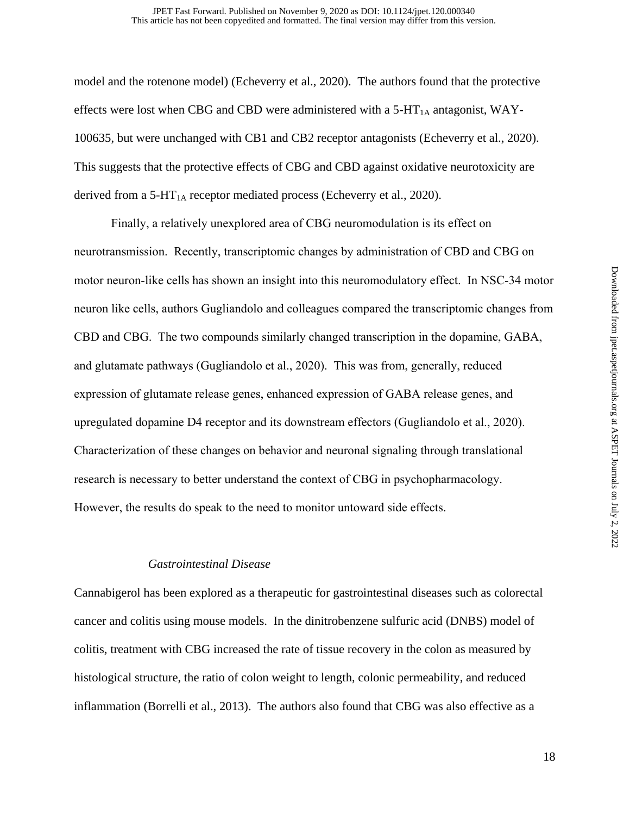model and the rotenone model) (Echeverry et al., 2020). The authors found that the protective effects were lost when CBG and CBD were administered with a 5-HT<sub>1A</sub> antagonist, WAY-100635, but were unchanged with CB1 and CB2 receptor antagonists (Echeverry et al., 2020). This suggests that the protective effects of CBG and CBD against oxidative neurotoxicity are derived from a  $5-HT_{1A}$  receptor mediated process (Echeverry et al., 2020).

Finally, a relatively unexplored area of CBG neuromodulation is its effect on neurotransmission. Recently, transcriptomic changes by administration of CBD and CBG on motor neuron-like cells has shown an insight into this neuromodulatory effect. In NSC-34 motor neuron like cells, authors Gugliandolo and colleagues compared the transcriptomic changes from CBD and CBG. The two compounds similarly changed transcription in the dopamine, GABA, and glutamate pathways (Gugliandolo et al., 2020). This was from, generally, reduced expression of glutamate release genes, enhanced expression of GABA release genes, and upregulated dopamine D4 receptor and its downstream effectors (Gugliandolo et al., 2020). Characterization of these changes on behavior and neuronal signaling through translational research is necessary to better understand the context of CBG in psychopharmacology. However, the results do speak to the need to monitor untoward side effects.

#### *Gastrointestinal Disease*

Cannabigerol has been explored as a therapeutic for gastrointestinal diseases such as colorectal cancer and colitis using mouse models. In the dinitrobenzene sulfuric acid (DNBS) model of colitis, treatment with CBG increased the rate of tissue recovery in the colon as measured by histological structure, the ratio of colon weight to length, colonic permeability, and reduced inflammation (Borrelli et al., 2013). The authors also found that CBG was also effective as a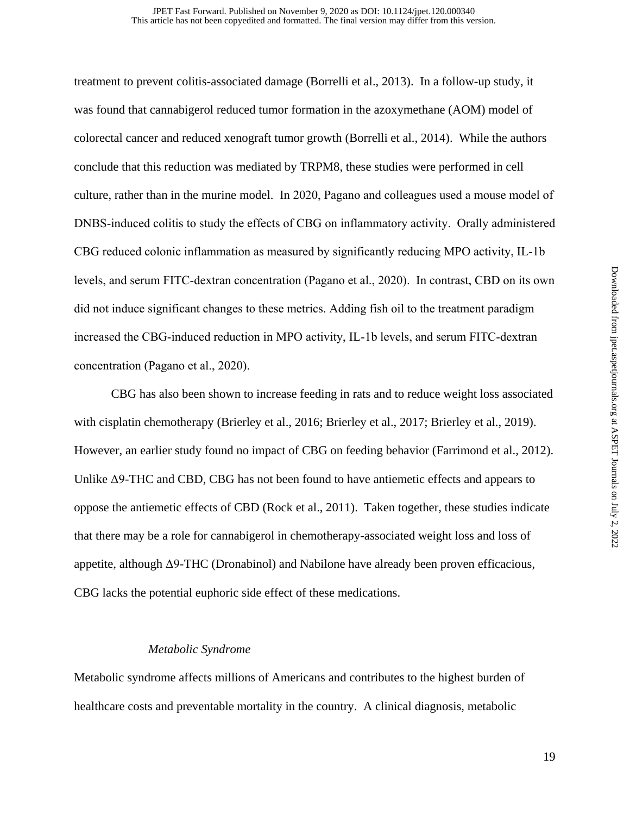treatment to prevent colitis-associated damage (Borrelli et al., 2013). In a follow-up study, it was found that cannabigerol reduced tumor formation in the azoxymethane (AOM) model of colorectal cancer and reduced xenograft tumor growth (Borrelli et al., 2014). While the authors conclude that this reduction was mediated by TRPM8, these studies were performed in cell culture, rather than in the murine model. In 2020, Pagano and colleagues used a mouse model of DNBS-induced colitis to study the effects of CBG on inflammatory activity. Orally administered CBG reduced colonic inflammation as measured by significantly reducing MPO activity, IL-1b levels, and serum FITC-dextran concentration (Pagano et al., 2020). In contrast, CBD on its own did not induce significant changes to these metrics. Adding fish oil to the treatment paradigm increased the CBG-induced reduction in MPO activity, IL-1b levels, and serum FITC-dextran concentration (Pagano et al., 2020).

 CBG has also been shown to increase feeding in rats and to reduce weight loss associated with cisplatin chemotherapy (Brierley et al., 2016; Brierley et al., 2017; Brierley et al., 2019). However, an earlier study found no impact of CBG on feeding behavior (Farrimond et al., 2012). Unlike Δ9-THC and CBD, CBG has not been found to have antiemetic effects and appears to oppose the antiemetic effects of CBD (Rock et al., 2011). Taken together, these studies indicate that there may be a role for cannabigerol in chemotherapy-associated weight loss and loss of appetite, although Δ9-THC (Dronabinol) and Nabilone have already been proven efficacious, CBG lacks the potential euphoric side effect of these medications.

#### *Metabolic Syndrome*

Metabolic syndrome affects millions of Americans and contributes to the highest burden of healthcare costs and preventable mortality in the country. A clinical diagnosis, metabolic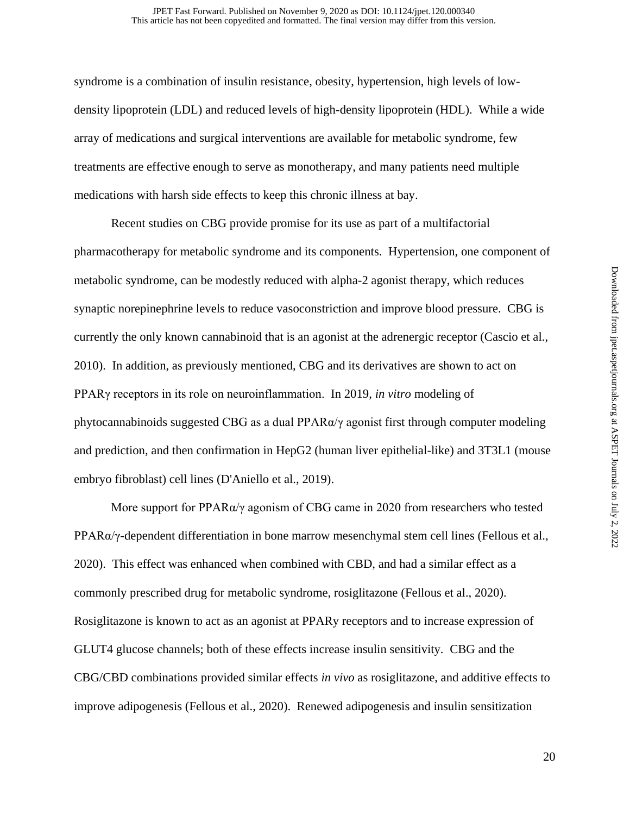syndrome is a combination of insulin resistance, obesity, hypertension, high levels of lowdensity lipoprotein (LDL) and reduced levels of high-density lipoprotein (HDL). While a wide array of medications and surgical interventions are available for metabolic syndrome, few treatments are effective enough to serve as monotherapy, and many patients need multiple medications with harsh side effects to keep this chronic illness at bay.

Recent studies on CBG provide promise for its use as part of a multifactorial pharmacotherapy for metabolic syndrome and its components. Hypertension, one component of metabolic syndrome, can be modestly reduced with alpha-2 agonist therapy, which reduces synaptic norepinephrine levels to reduce vasoconstriction and improve blood pressure. CBG is currently the only known cannabinoid that is an agonist at the adrenergic receptor (Cascio et al., 2010). In addition, as previously mentioned, CBG and its derivatives are shown to act on PPARγ receptors in its role on neuroinflammation. In 2019, *in vitro* modeling of phytocannabinoids suggested CBG as a dual PPARα/γ agonist first through computer modeling and prediction, and then confirmation in HepG2 (human liver epithelial-like) and 3T3L1 (mouse embryo fibroblast) cell lines (D'Aniello et al., 2019).

More support for PPAR $\alpha/\gamma$  agonism of CBG came in 2020 from researchers who tested PPARα/γ-dependent differentiation in bone marrow mesenchymal stem cell lines (Fellous et al., 2020). This effect was enhanced when combined with CBD, and had a similar effect as a commonly prescribed drug for metabolic syndrome, rosiglitazone (Fellous et al., 2020). Rosiglitazone is known to act as an agonist at PPARy receptors and to increase expression of GLUT4 glucose channels; both of these effects increase insulin sensitivity. CBG and the CBG/CBD combinations provided similar effects *in vivo* as rosiglitazone, and additive effects to improve adipogenesis (Fellous et al., 2020). Renewed adipogenesis and insulin sensitization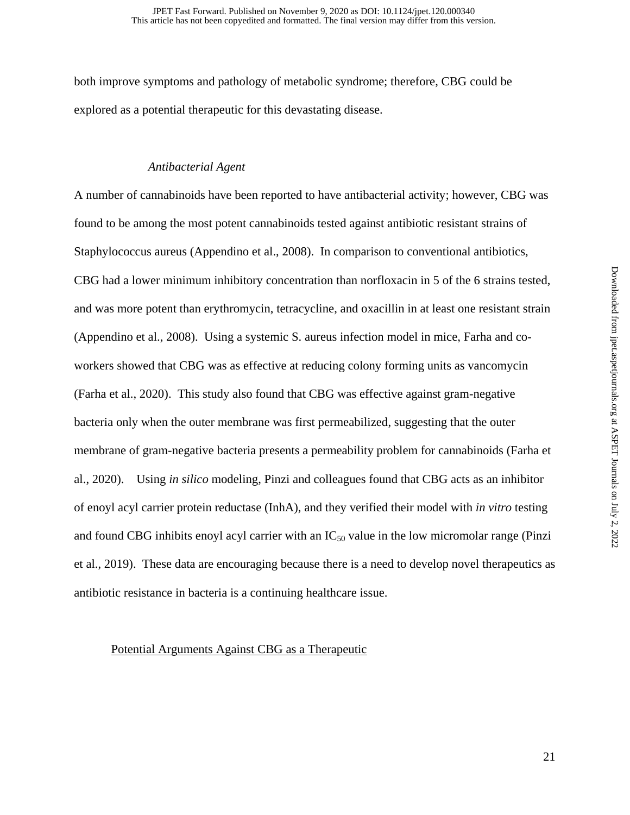both improve symptoms and pathology of metabolic syndrome; therefore, CBG could be explored as a potential therapeutic for this devastating disease.

#### *Antibacterial Agent*

A number of cannabinoids have been reported to have antibacterial activity; however, CBG was found to be among the most potent cannabinoids tested against antibiotic resistant strains of Staphylococcus aureus (Appendino et al., 2008). In comparison to conventional antibiotics, CBG had a lower minimum inhibitory concentration than norfloxacin in 5 of the 6 strains tested, and was more potent than erythromycin, tetracycline, and oxacillin in at least one resistant strain (Appendino et al., 2008). Using a systemic S. aureus infection model in mice, Farha and coworkers showed that CBG was as effective at reducing colony forming units as vancomycin (Farha et al., 2020). This study also found that CBG was effective against gram-negative bacteria only when the outer membrane was first permeabilized, suggesting that the outer membrane of gram-negative bacteria presents a permeability problem for cannabinoids (Farha et al., 2020). Using *in silico* modeling, Pinzi and colleagues found that CBG acts as an inhibitor of enoyl acyl carrier protein reductase (InhA), and they verified their model with *in vitro* testing and found CBG inhibits enoyl acyl carrier with an  $IC_{50}$  value in the low micromolar range (Pinzi et al., 2019). These data are encouraging because there is a need to develop novel therapeutics as antibiotic resistance in bacteria is a continuing healthcare issue.

#### Potential Arguments Against CBG as a Therapeutic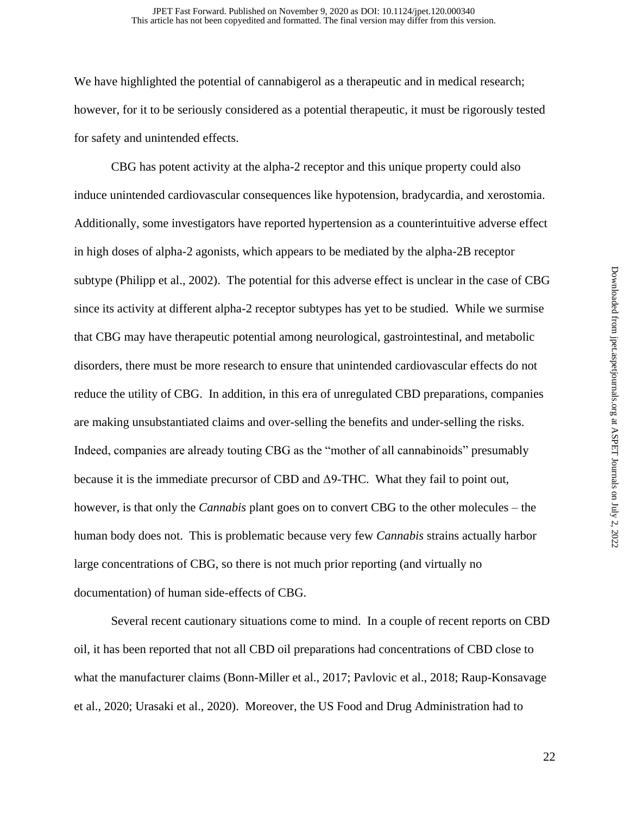We have highlighted the potential of cannabigerol as a therapeutic and in medical research; however, for it to be seriously considered as a potential therapeutic, it must be rigorously tested for safety and unintended effects.

CBG has potent activity at the alpha-2 receptor and this unique property could also induce unintended cardiovascular consequences like hypotension, bradycardia, and xerostomia. Additionally, some investigators have reported hypertension as a counterintuitive adverse effect in high doses of alpha-2 agonists, which appears to be mediated by the alpha-2B receptor subtype (Philipp et al., 2002). The potential for this adverse effect is unclear in the case of CBG since its activity at different alpha-2 receptor subtypes has yet to be studied. While we surmise that CBG may have therapeutic potential among neurological, gastrointestinal, and metabolic disorders, there must be more research to ensure that unintended cardiovascular effects do not reduce the utility of CBG. In addition, in this era of unregulated CBD preparations, companies are making unsubstantiated claims and over-selling the benefits and under-selling the risks. Indeed, companies are already touting CBG as the "mother of all cannabinoids" presumably because it is the immediate precursor of CBD and Δ9-THC. What they fail to point out, however, is that only the *Cannabis* plant goes on to convert CBG to the other molecules – the human body does not. This is problematic because very few *Cannabis* strains actually harbor large concentrations of CBG, so there is not much prior reporting (and virtually no documentation) of human side-effects of CBG.

Several recent cautionary situations come to mind. In a couple of recent reports on CBD oil, it has been reported that not all CBD oil preparations had concentrations of CBD close to what the manufacturer claims (Bonn-Miller et al., 2017; Pavlovic et al., 2018; Raup-Konsavage et al., 2020; Urasaki et al., 2020). Moreover, the US Food and Drug Administration had to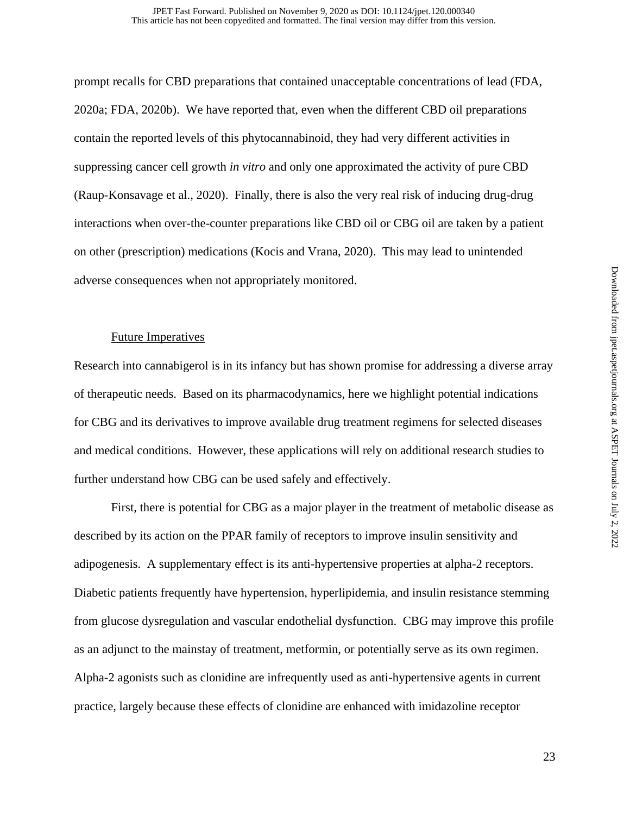prompt recalls for CBD preparations that contained unacceptable concentrations of lead (FDA, 2020a; FDA, 2020b). We have reported that, even when the different CBD oil preparations contain the reported levels of this phytocannabinoid, they had very different activities in suppressing cancer cell growth *in vitro* and only one approximated the activity of pure CBD (Raup-Konsavage et al., 2020). Finally, there is also the very real risk of inducing drug-drug interactions when over-the-counter preparations like CBD oil or CBG oil are taken by a patient on other (prescription) medications (Kocis and Vrana, 2020). This may lead to unintended adverse consequences when not appropriately monitored.

#### Future Imperatives

Research into cannabigerol is in its infancy but has shown promise for addressing a diverse array of therapeutic needs. Based on its pharmacodynamics, here we highlight potential indications for CBG and its derivatives to improve available drug treatment regimens for selected diseases and medical conditions. However, these applications will rely on additional research studies to further understand how CBG can be used safely and effectively.

First, there is potential for CBG as a major player in the treatment of metabolic disease as described by its action on the PPAR family of receptors to improve insulin sensitivity and adipogenesis. A supplementary effect is its anti-hypertensive properties at alpha-2 receptors. Diabetic patients frequently have hypertension, hyperlipidemia, and insulin resistance stemming from glucose dysregulation and vascular endothelial dysfunction. CBG may improve this profile as an adjunct to the mainstay of treatment, metformin, or potentially serve as its own regimen. Alpha-2 agonists such as clonidine are infrequently used as anti-hypertensive agents in current practice, largely because these effects of clonidine are enhanced with imidazoline receptor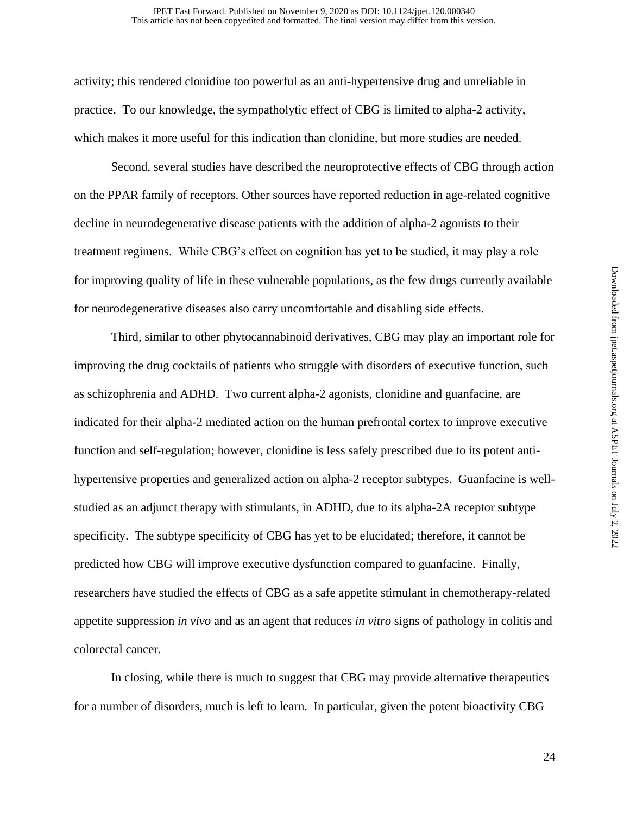activity; this rendered clonidine too powerful as an anti-hypertensive drug and unreliable in practice. To our knowledge, the sympatholytic effect of CBG is limited to alpha-2 activity, which makes it more useful for this indication than clonidine, but more studies are needed.

Second, several studies have described the neuroprotective effects of CBG through action on the PPAR family of receptors. Other sources have reported reduction in age-related cognitive decline in neurodegenerative disease patients with the addition of alpha-2 agonists to their treatment regimens. While CBG's effect on cognition has yet to be studied, it may play a role for improving quality of life in these vulnerable populations, as the few drugs currently available for neurodegenerative diseases also carry uncomfortable and disabling side effects.

Third, similar to other phytocannabinoid derivatives, CBG may play an important role for improving the drug cocktails of patients who struggle with disorders of executive function, such as schizophrenia and ADHD. Two current alpha-2 agonists, clonidine and guanfacine, are indicated for their alpha-2 mediated action on the human prefrontal cortex to improve executive function and self-regulation; however, clonidine is less safely prescribed due to its potent antihypertensive properties and generalized action on alpha-2 receptor subtypes. Guanfacine is wellstudied as an adjunct therapy with stimulants, in ADHD, due to its alpha-2A receptor subtype specificity. The subtype specificity of CBG has yet to be elucidated; therefore, it cannot be predicted how CBG will improve executive dysfunction compared to guanfacine. Finally, researchers have studied the effects of CBG as a safe appetite stimulant in chemotherapy-related appetite suppression *in vivo* and as an agent that reduces *in vitro* signs of pathology in colitis and colorectal cancer.

In closing, while there is much to suggest that CBG may provide alternative therapeutics for a number of disorders, much is left to learn. In particular, given the potent bioactivity CBG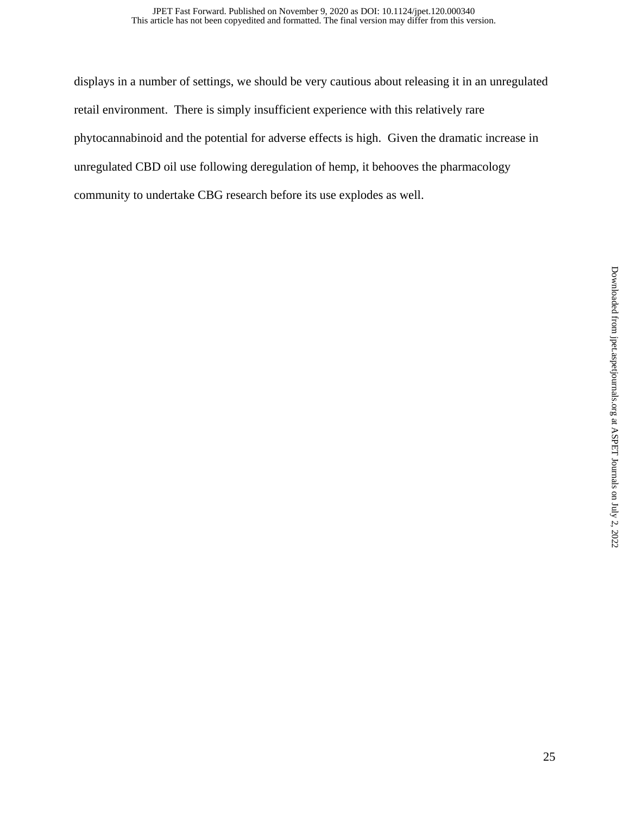displays in a number of settings, we should be very cautious about releasing it in an unregulated retail environment. There is simply insufficient experience with this relatively rare phytocannabinoid and the potential for adverse effects is high. Given the dramatic increase in unregulated CBD oil use following deregulation of hemp, it behooves the pharmacology community to undertake CBG research before its use explodes as well.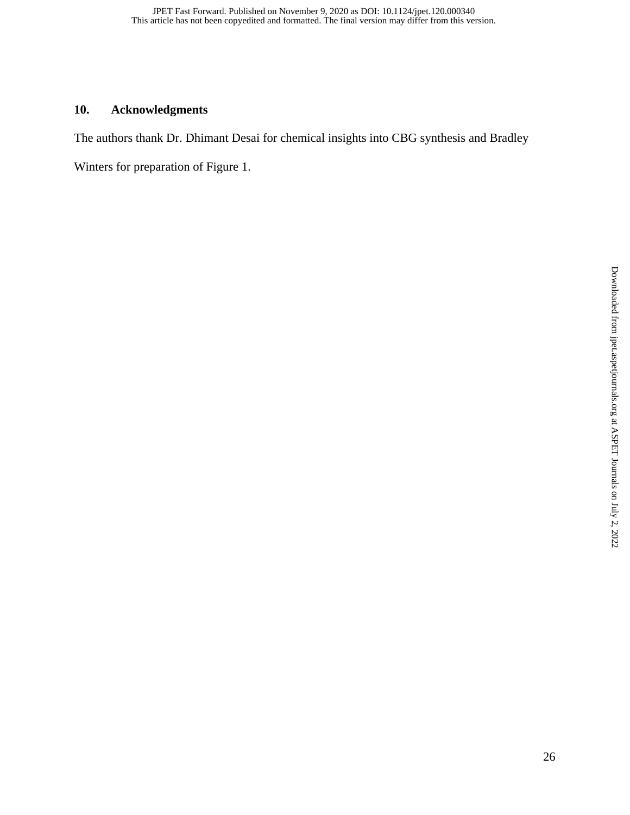## **10. Acknowledgments**

The authors thank Dr. Dhimant Desai for chemical insights into CBG synthesis and Bradley

Winters for preparation of Figure 1.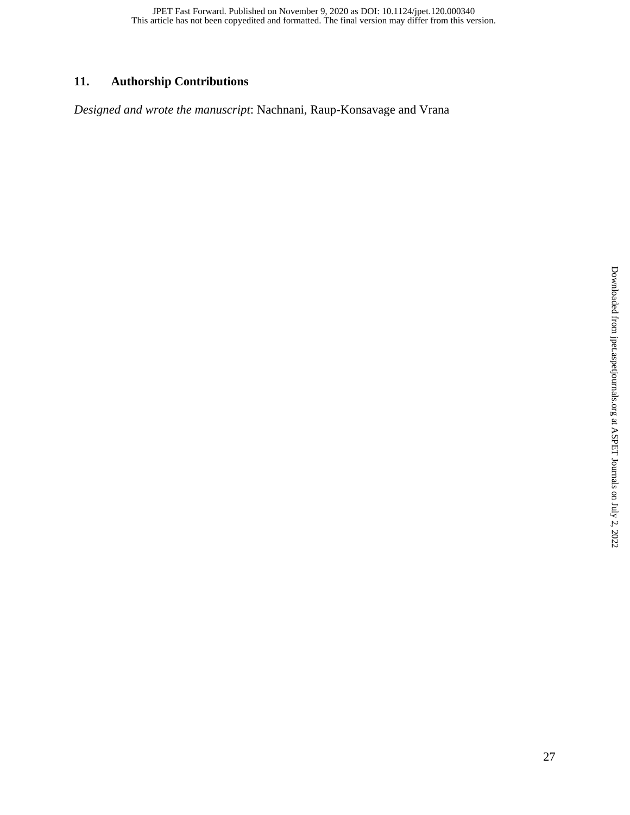## **11. Authorship Contributions**

*Designed and wrote the manuscript*: Nachnani, Raup-Konsavage and Vrana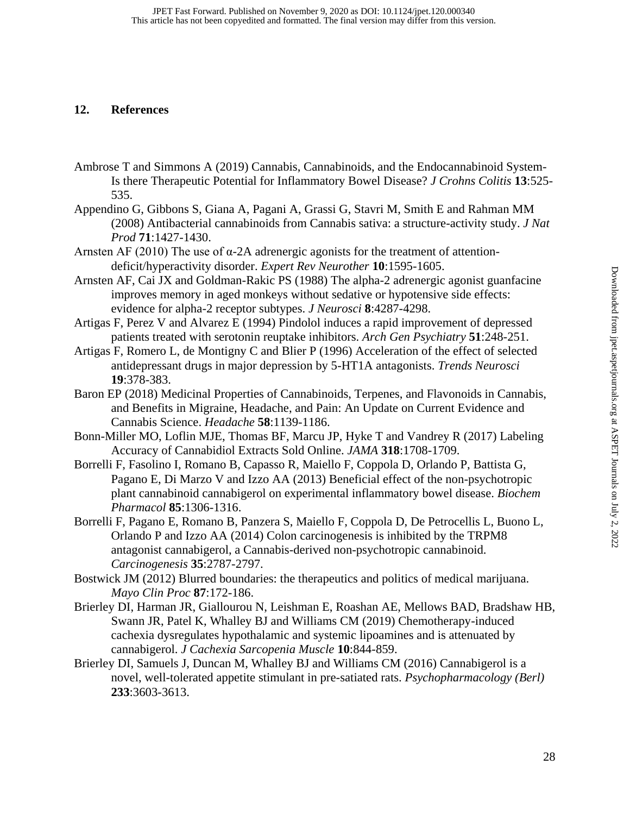### **12. References**

- Ambrose T and Simmons A (2019) Cannabis, Cannabinoids, and the Endocannabinoid System-Is there Therapeutic Potential for Inflammatory Bowel Disease? *J Crohns Colitis* **13**:525- 535.
- Appendino G, Gibbons S, Giana A, Pagani A, Grassi G, Stavri M, Smith E and Rahman MM (2008) Antibacterial cannabinoids from Cannabis sativa: a structure-activity study. *J Nat Prod* **71**:1427-1430.
- Arnsten AF (2010) The use of α-2A adrenergic agonists for the treatment of attentiondeficit/hyperactivity disorder. *Expert Rev Neurother* **10**:1595-1605.
- Arnsten AF, Cai JX and Goldman-Rakic PS (1988) The alpha-2 adrenergic agonist guanfacine improves memory in aged monkeys without sedative or hypotensive side effects: evidence for alpha-2 receptor subtypes. *J Neurosci* **8**:4287-4298.
- Artigas F, Perez V and Alvarez E (1994) Pindolol induces a rapid improvement of depressed patients treated with serotonin reuptake inhibitors. *Arch Gen Psychiatry* **51**:248-251.
- Artigas F, Romero L, de Montigny C and Blier P (1996) Acceleration of the effect of selected antidepressant drugs in major depression by 5-HT1A antagonists. *Trends Neurosci* **19**:378-383.
- Baron EP (2018) Medicinal Properties of Cannabinoids, Terpenes, and Flavonoids in Cannabis, and Benefits in Migraine, Headache, and Pain: An Update on Current Evidence and Cannabis Science. *Headache* **58**:1139-1186.
- Bonn-Miller MO, Loflin MJE, Thomas BF, Marcu JP, Hyke T and Vandrey R (2017) Labeling Accuracy of Cannabidiol Extracts Sold Online. *JAMA* **318**:1708-1709.
- Borrelli F, Fasolino I, Romano B, Capasso R, Maiello F, Coppola D, Orlando P, Battista G, Pagano E, Di Marzo V and Izzo AA (2013) Beneficial effect of the non-psychotropic plant cannabinoid cannabigerol on experimental inflammatory bowel disease. *Biochem Pharmacol* **85**:1306-1316.
- Borrelli F, Pagano E, Romano B, Panzera S, Maiello F, Coppola D, De Petrocellis L, Buono L, Orlando P and Izzo AA (2014) Colon carcinogenesis is inhibited by the TRPM8 antagonist cannabigerol, a Cannabis-derived non-psychotropic cannabinoid. *Carcinogenesis* **35**:2787-2797.
- Bostwick JM (2012) Blurred boundaries: the therapeutics and politics of medical marijuana. *Mayo Clin Proc* **87**:172-186.
- Brierley DI, Harman JR, Giallourou N, Leishman E, Roashan AE, Mellows BAD, Bradshaw HB, Swann JR, Patel K, Whalley BJ and Williams CM (2019) Chemotherapy-induced cachexia dysregulates hypothalamic and systemic lipoamines and is attenuated by cannabigerol. *J Cachexia Sarcopenia Muscle* **10**:844-859.
- Brierley DI, Samuels J, Duncan M, Whalley BJ and Williams CM (2016) Cannabigerol is a novel, well-tolerated appetite stimulant in pre-satiated rats. *Psychopharmacology (Berl)* **233**:3603-3613.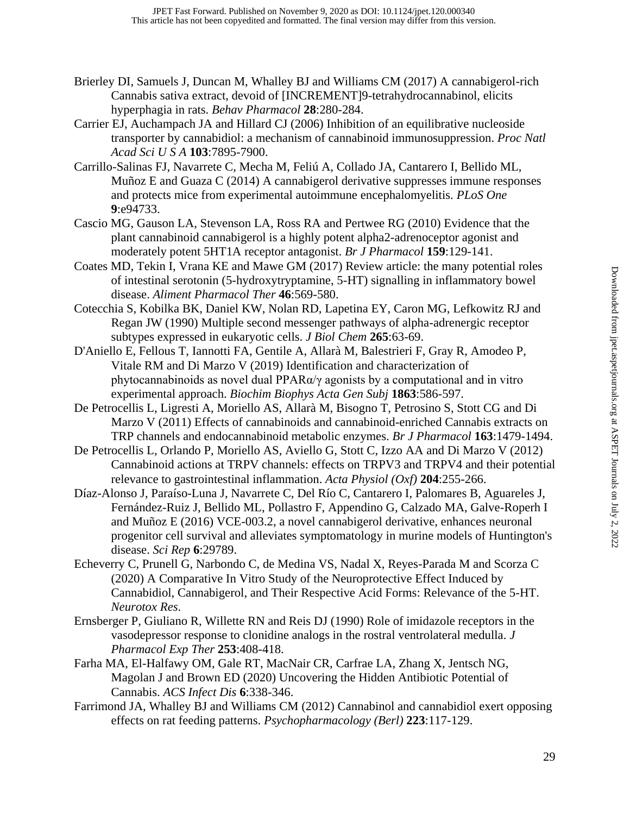- Brierley DI, Samuels J, Duncan M, Whalley BJ and Williams CM (2017) A cannabigerol-rich Cannabis sativa extract, devoid of [INCREMENT]9-tetrahydrocannabinol, elicits hyperphagia in rats. *Behav Pharmacol* **28**:280-284.
- Carrier EJ, Auchampach JA and Hillard CJ (2006) Inhibition of an equilibrative nucleoside transporter by cannabidiol: a mechanism of cannabinoid immunosuppression. *Proc Natl Acad Sci U S A* **103**:7895-7900.
- Carrillo-Salinas FJ, Navarrete C, Mecha M, Feliú A, Collado JA, Cantarero I, Bellido ML, Muñoz E and Guaza C (2014) A cannabigerol derivative suppresses immune responses and protects mice from experimental autoimmune encephalomyelitis. *PLoS One* **9**:e94733.
- Cascio MG, Gauson LA, Stevenson LA, Ross RA and Pertwee RG (2010) Evidence that the plant cannabinoid cannabigerol is a highly potent alpha2-adrenoceptor agonist and moderately potent 5HT1A receptor antagonist. *Br J Pharmacol* **159**:129-141.
- Coates MD, Tekin I, Vrana KE and Mawe GM (2017) Review article: the many potential roles of intestinal serotonin (5-hydroxytryptamine, 5-HT) signalling in inflammatory bowel disease. *Aliment Pharmacol Ther* **46**:569-580.
- Cotecchia S, Kobilka BK, Daniel KW, Nolan RD, Lapetina EY, Caron MG, Lefkowitz RJ and Regan JW (1990) Multiple second messenger pathways of alpha-adrenergic receptor subtypes expressed in eukaryotic cells. *J Biol Chem* **265**:63-69.
- D'Aniello E, Fellous T, Iannotti FA, Gentile A, Allarà M, Balestrieri F, Gray R, Amodeo P, Vitale RM and Di Marzo V (2019) Identification and characterization of phytocannabinoids as novel dual PPAR $\alpha/\gamma$  agonists by a computational and in vitro experimental approach. *Biochim Biophys Acta Gen Subj* **1863**:586-597.
- De Petrocellis L, Ligresti A, Moriello AS, Allarà M, Bisogno T, Petrosino S, Stott CG and Di Marzo V (2011) Effects of cannabinoids and cannabinoid-enriched Cannabis extracts on TRP channels and endocannabinoid metabolic enzymes. *Br J Pharmacol* **163**:1479-1494.
- De Petrocellis L, Orlando P, Moriello AS, Aviello G, Stott C, Izzo AA and Di Marzo V (2012) Cannabinoid actions at TRPV channels: effects on TRPV3 and TRPV4 and their potential relevance to gastrointestinal inflammation. *Acta Physiol (Oxf)* **204**:255-266.
- Díaz-Alonso J, Paraíso-Luna J, Navarrete C, Del Río C, Cantarero I, Palomares B, Aguareles J, Fernández-Ruiz J, Bellido ML, Pollastro F, Appendino G, Calzado MA, Galve-Roperh I and Muñoz E (2016) VCE-003.2, a novel cannabigerol derivative, enhances neuronal progenitor cell survival and alleviates symptomatology in murine models of Huntington's disease. *Sci Rep* **6**:29789.
- Echeverry C, Prunell G, Narbondo C, de Medina VS, Nadal X, Reyes-Parada M and Scorza C (2020) A Comparative In Vitro Study of the Neuroprotective Effect Induced by Cannabidiol, Cannabigerol, and Their Respective Acid Forms: Relevance of the 5-HT. *Neurotox Res*.
- Ernsberger P, Giuliano R, Willette RN and Reis DJ (1990) Role of imidazole receptors in the vasodepressor response to clonidine analogs in the rostral ventrolateral medulla. *J Pharmacol Exp Ther* **253**:408-418.
- Farha MA, El-Halfawy OM, Gale RT, MacNair CR, Carfrae LA, Zhang X, Jentsch NG, Magolan J and Brown ED (2020) Uncovering the Hidden Antibiotic Potential of Cannabis. *ACS Infect Dis* **6**:338-346.
- Farrimond JA, Whalley BJ and Williams CM (2012) Cannabinol and cannabidiol exert opposing effects on rat feeding patterns. *Psychopharmacology (Berl)* **223**:117-129.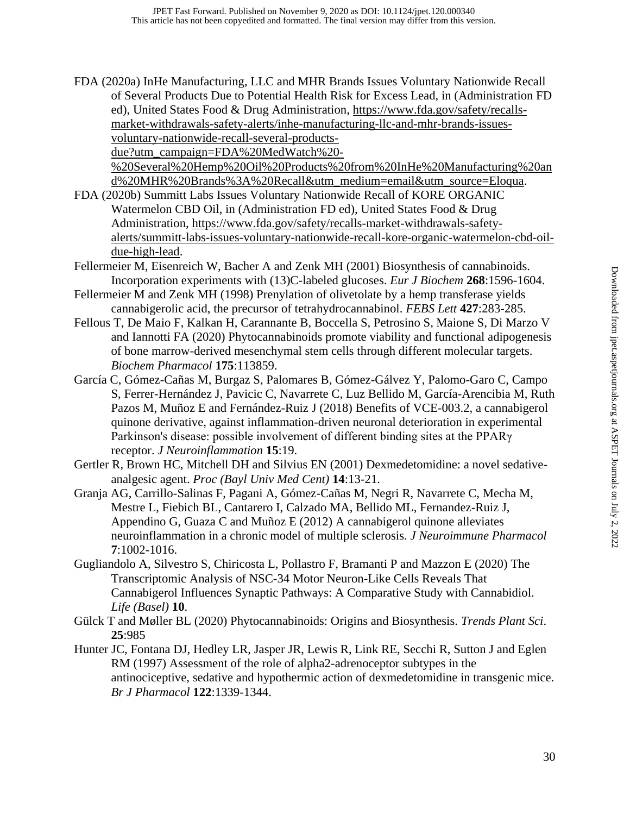FDA (2020a) InHe Manufacturing, LLC and MHR Brands Issues Voluntary Nationwide Recall of Several Products Due to Potential Health Risk for Excess Lead, in (Administration FD ed), United States Food & Drug Administration, [https://www.fda.gov/safety/recalls](https://www.fda.gov/safety/recalls-market-withdrawals-safety-alerts/inhe-manufacturing-llc-and-mhr-brands-issues-voluntary-nationwide-recall-several-products-due?utm_campaign=FDA%20MedWatch%20-%20Several%20Hemp%20Oil%20Products%20from%20InHe%20Manufacturing%20and%20MHR%20Brands%3A%20Recall&utm_medium=email&utm_source=Eloqua)[market-withdrawals-safety-alerts/inhe-manufacturing-llc-and-mhr-brands-issues](https://www.fda.gov/safety/recalls-market-withdrawals-safety-alerts/inhe-manufacturing-llc-and-mhr-brands-issues-voluntary-nationwide-recall-several-products-due?utm_campaign=FDA%20MedWatch%20-%20Several%20Hemp%20Oil%20Products%20from%20InHe%20Manufacturing%20and%20MHR%20Brands%3A%20Recall&utm_medium=email&utm_source=Eloqua)[voluntary-nationwide-recall-several-products](https://www.fda.gov/safety/recalls-market-withdrawals-safety-alerts/inhe-manufacturing-llc-and-mhr-brands-issues-voluntary-nationwide-recall-several-products-due?utm_campaign=FDA%20MedWatch%20-%20Several%20Hemp%20Oil%20Products%20from%20InHe%20Manufacturing%20and%20MHR%20Brands%3A%20Recall&utm_medium=email&utm_source=Eloqua)[due?utm\\_campaign=FDA%20MedWatch%20-](https://www.fda.gov/safety/recalls-market-withdrawals-safety-alerts/inhe-manufacturing-llc-and-mhr-brands-issues-voluntary-nationwide-recall-several-products-due?utm_campaign=FDA%20MedWatch%20-%20Several%20Hemp%20Oil%20Products%20from%20InHe%20Manufacturing%20and%20MHR%20Brands%3A%20Recall&utm_medium=email&utm_source=Eloqua)

[%20Several%20Hemp%20Oil%20Products%20from%20InHe%20Manufacturing%20an](https://www.fda.gov/safety/recalls-market-withdrawals-safety-alerts/inhe-manufacturing-llc-and-mhr-brands-issues-voluntary-nationwide-recall-several-products-due?utm_campaign=FDA%20MedWatch%20-%20Several%20Hemp%20Oil%20Products%20from%20InHe%20Manufacturing%20and%20MHR%20Brands%3A%20Recall&utm_medium=email&utm_source=Eloqua) [d%20MHR%20Brands%3A%20Recall&utm\\_medium=email&utm\\_source=Eloqua.](https://www.fda.gov/safety/recalls-market-withdrawals-safety-alerts/inhe-manufacturing-llc-and-mhr-brands-issues-voluntary-nationwide-recall-several-products-due?utm_campaign=FDA%20MedWatch%20-%20Several%20Hemp%20Oil%20Products%20from%20InHe%20Manufacturing%20and%20MHR%20Brands%3A%20Recall&utm_medium=email&utm_source=Eloqua)

- FDA (2020b) Summitt Labs Issues Voluntary Nationwide Recall of KORE ORGANIC Watermelon CBD Oil, in (Administration FD ed), United States Food & Drug Administration, [https://www.fda.gov/safety/recalls-market-withdrawals-safety](https://www.fda.gov/safety/recalls-market-withdrawals-safety-alerts/summitt-labs-issues-voluntary-nationwide-recall-kore-organic-watermelon-cbd-oil-due-high-lead)[alerts/summitt-labs-issues-voluntary-nationwide-recall-kore-organic-watermelon-cbd-oil](https://www.fda.gov/safety/recalls-market-withdrawals-safety-alerts/summitt-labs-issues-voluntary-nationwide-recall-kore-organic-watermelon-cbd-oil-due-high-lead)[due-high-lead.](https://www.fda.gov/safety/recalls-market-withdrawals-safety-alerts/summitt-labs-issues-voluntary-nationwide-recall-kore-organic-watermelon-cbd-oil-due-high-lead)
- Fellermeier M, Eisenreich W, Bacher A and Zenk MH (2001) Biosynthesis of cannabinoids. Incorporation experiments with (13)C-labeled glucoses. *Eur J Biochem* **268**:1596-1604.
- Fellermeier M and Zenk MH (1998) Prenylation of olivetolate by a hemp transferase yields cannabigerolic acid, the precursor of tetrahydrocannabinol. *FEBS Lett* **427**:283-285.
- Fellous T, De Maio F, Kalkan H, Carannante B, Boccella S, Petrosino S, Maione S, Di Marzo V and Iannotti FA (2020) Phytocannabinoids promote viability and functional adipogenesis of bone marrow-derived mesenchymal stem cells through different molecular targets. *Biochem Pharmacol* **175**:113859.
- García C, Gómez-Cañas M, Burgaz S, Palomares B, Gómez-Gálvez Y, Palomo-Garo C, Campo S, Ferrer-Hernández J, Pavicic C, Navarrete C, Luz Bellido M, García-Arencibia M, Ruth Pazos M, Muñoz E and Fernández-Ruiz J (2018) Benefits of VCE-003.2, a cannabigerol quinone derivative, against inflammation-driven neuronal deterioration in experimental Parkinson's disease: possible involvement of different binding sites at the PPARγ receptor. *J Neuroinflammation* **15**:19.
- Gertler R, Brown HC, Mitchell DH and Silvius EN (2001) Dexmedetomidine: a novel sedativeanalgesic agent. *Proc (Bayl Univ Med Cent)* **14**:13-21.
- Granja AG, Carrillo-Salinas F, Pagani A, Gómez-Cañas M, Negri R, Navarrete C, Mecha M, Mestre L, Fiebich BL, Cantarero I, Calzado MA, Bellido ML, Fernandez-Ruiz J, Appendino G, Guaza C and Muñoz E (2012) A cannabigerol quinone alleviates neuroinflammation in a chronic model of multiple sclerosis. *J Neuroimmune Pharmacol* **7**:1002-1016.
- Gugliandolo A, Silvestro S, Chiricosta L, Pollastro F, Bramanti P and Mazzon E (2020) The Transcriptomic Analysis of NSC-34 Motor Neuron-Like Cells Reveals That Cannabigerol Influences Synaptic Pathways: A Comparative Study with Cannabidiol. *Life (Basel)* **10**.
- Gülck T and Møller BL (2020) Phytocannabinoids: Origins and Biosynthesis. *Trends Plant Sci*. **25**:985
- Hunter JC, Fontana DJ, Hedley LR, Jasper JR, Lewis R, Link RE, Secchi R, Sutton J and Eglen RM (1997) Assessment of the role of alpha2-adrenoceptor subtypes in the antinociceptive, sedative and hypothermic action of dexmedetomidine in transgenic mice. *Br J Pharmacol* **122**:1339-1344.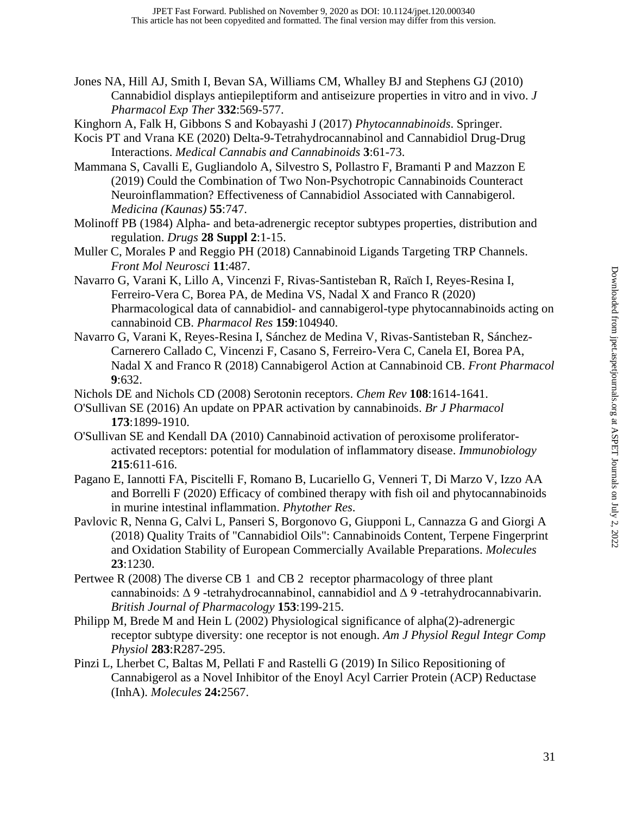- Jones NA, Hill AJ, Smith I, Bevan SA, Williams CM, Whalley BJ and Stephens GJ (2010) Cannabidiol displays antiepileptiform and antiseizure properties in vitro and in vivo. *J Pharmacol Exp Ther* **332**:569-577.
- Kinghorn A, Falk H, Gibbons S and Kobayashi J (2017) *Phytocannabinoids*. Springer.

Kocis PT and Vrana KE (2020) Delta-9-Tetrahydrocannabinol and Cannabidiol Drug-Drug Interactions. *Medical Cannabis and Cannabinoids* **3**:61-73.

Mammana S, Cavalli E, Gugliandolo A, Silvestro S, Pollastro F, Bramanti P and Mazzon E (2019) Could the Combination of Two Non-Psychotropic Cannabinoids Counteract Neuroinflammation? Effectiveness of Cannabidiol Associated with Cannabigerol. *Medicina (Kaunas)* **55**:747.

Molinoff PB (1984) Alpha- and beta-adrenergic receptor subtypes properties, distribution and regulation. *Drugs* **28 Suppl 2**:1-15.

- Muller C, Morales P and Reggio PH (2018) Cannabinoid Ligands Targeting TRP Channels. *Front Mol Neurosci* **11**:487.
- Navarro G, Varani K, Lillo A, Vincenzi F, Rivas-Santisteban R, Raïch I, Reyes-Resina I, Ferreiro-Vera C, Borea PA, de Medina VS, Nadal X and Franco R (2020) Pharmacological data of cannabidiol- and cannabigerol-type phytocannabinoids acting on cannabinoid CB. *Pharmacol Res* **159**:104940.
- Navarro G, Varani K, Reyes-Resina I, Sánchez de Medina V, Rivas-Santisteban R, Sánchez-Carnerero Callado C, Vincenzi F, Casano S, Ferreiro-Vera C, Canela EI, Borea PA, Nadal X and Franco R (2018) Cannabigerol Action at Cannabinoid CB. *Front Pharmacol* **9**:632.

Nichols DE and Nichols CD (2008) Serotonin receptors. *Chem Rev* **108**:1614-1641.

- O'Sullivan SE (2016) An update on PPAR activation by cannabinoids. *Br J Pharmacol* **173**:1899-1910.
- O'Sullivan SE and Kendall DA (2010) Cannabinoid activation of peroxisome proliferatoractivated receptors: potential for modulation of inflammatory disease. *Immunobiology* **215**:611-616.
- Pagano E, Iannotti FA, Piscitelli F, Romano B, Lucariello G, Venneri T, Di Marzo V, Izzo AA and Borrelli F (2020) Efficacy of combined therapy with fish oil and phytocannabinoids in murine intestinal inflammation. *Phytother Res*.
- Pavlovic R, Nenna G, Calvi L, Panseri S, Borgonovo G, Giupponi L, Cannazza G and Giorgi A (2018) Quality Traits of "Cannabidiol Oils": Cannabinoids Content, Terpene Fingerprint and Oxidation Stability of European Commercially Available Preparations. *Molecules* **23**:1230.
- Pertwee R (2008) The diverse CB 1 and CB 2 receptor pharmacology of three plant cannabinoids:  $\Delta$  9 -tetrahydrocannabinol, cannabidiol and  $\Delta$  9 -tetrahydrocannabivarin. *British Journal of Pharmacology* **153**:199-215.
- Philipp M, Brede M and Hein L (2002) Physiological significance of alpha(2)-adrenergic receptor subtype diversity: one receptor is not enough. *Am J Physiol Regul Integr Comp Physiol* **283**:R287-295.
- Pinzi L, Lherbet C, Baltas M, Pellati F and Rastelli G (2019) In Silico Repositioning of Cannabigerol as a Novel Inhibitor of the Enoyl Acyl Carrier Protein (ACP) Reductase (InhA). *Molecules* **24:**2567.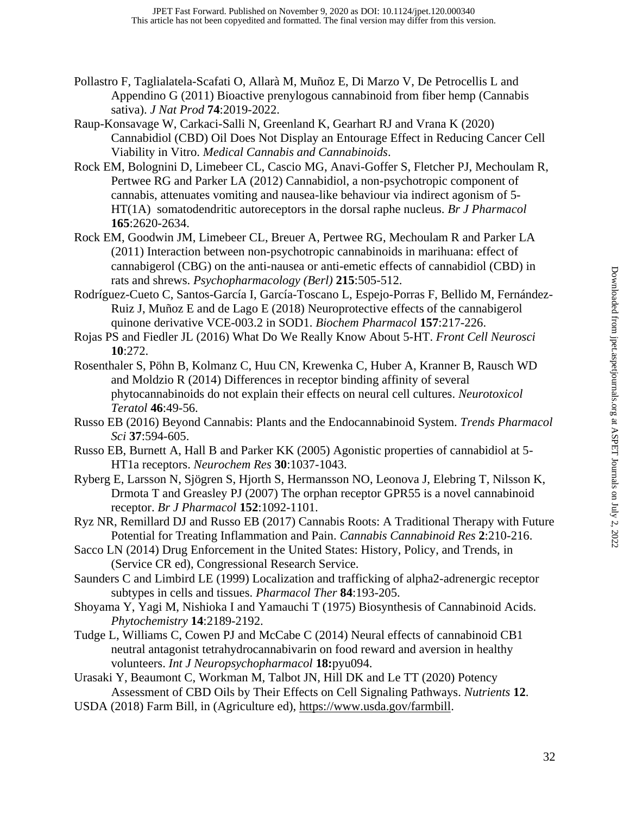- Pollastro F, Taglialatela-Scafati O, Allarà M, Muñoz E, Di Marzo V, De Petrocellis L and Appendino G (2011) Bioactive prenylogous cannabinoid from fiber hemp (Cannabis sativa). *J Nat Prod* **74**:2019-2022.
- Raup-Konsavage W, Carkaci-Salli N, Greenland K, Gearhart RJ and Vrana K (2020) Cannabidiol (CBD) Oil Does Not Display an Entourage Effect in Reducing Cancer Cell Viability in Vitro. *Medical Cannabis and Cannabinoids*.
- Rock EM, Bolognini D, Limebeer CL, Cascio MG, Anavi-Goffer S, Fletcher PJ, Mechoulam R, Pertwee RG and Parker LA (2012) Cannabidiol, a non-psychotropic component of cannabis, attenuates vomiting and nausea-like behaviour via indirect agonism of 5- HT(1A) somatodendritic autoreceptors in the dorsal raphe nucleus. *Br J Pharmacol* **165**:2620-2634.
- Rock EM, Goodwin JM, Limebeer CL, Breuer A, Pertwee RG, Mechoulam R and Parker LA (2011) Interaction between non-psychotropic cannabinoids in marihuana: effect of cannabigerol (CBG) on the anti-nausea or anti-emetic effects of cannabidiol (CBD) in rats and shrews. *Psychopharmacology (Berl)* **215**:505-512.
- Rodríguez-Cueto C, Santos-García I, García-Toscano L, Espejo-Porras F, Bellido M, Fernández-Ruiz J, Muñoz E and de Lago E (2018) Neuroprotective effects of the cannabigerol quinone derivative VCE-003.2 in SOD1. *Biochem Pharmacol* **157**:217-226.
- Rojas PS and Fiedler JL (2016) What Do We Really Know About 5-HT. *Front Cell Neurosci* **10**:272.
- Rosenthaler S, Pöhn B, Kolmanz C, Huu CN, Krewenka C, Huber A, Kranner B, Rausch WD and Moldzio R (2014) Differences in receptor binding affinity of several phytocannabinoids do not explain their effects on neural cell cultures. *Neurotoxicol Teratol* **46**:49-56.
- Russo EB (2016) Beyond Cannabis: Plants and the Endocannabinoid System. *Trends Pharmacol Sci* **37**:594-605.
- Russo EB, Burnett A, Hall B and Parker KK (2005) Agonistic properties of cannabidiol at 5- HT1a receptors. *Neurochem Res* **30**:1037-1043.
- Ryberg E, Larsson N, Sjögren S, Hjorth S, Hermansson NO, Leonova J, Elebring T, Nilsson K, Drmota T and Greasley PJ (2007) The orphan receptor GPR55 is a novel cannabinoid receptor. *Br J Pharmacol* **152**:1092-1101.
- Ryz NR, Remillard DJ and Russo EB (2017) Cannabis Roots: A Traditional Therapy with Future Potential for Treating Inflammation and Pain. *Cannabis Cannabinoid Res* **2**:210-216.
- Sacco LN (2014) Drug Enforcement in the United States: History, Policy, and Trends, in (Service CR ed), Congressional Research Service.
- Saunders C and Limbird LE (1999) Localization and trafficking of alpha2-adrenergic receptor subtypes in cells and tissues. *Pharmacol Ther* **84**:193-205.
- Shoyama Y, Yagi M, Nishioka I and Yamauchi T (1975) Biosynthesis of Cannabinoid Acids. *Phytochemistry* **14**:2189-2192.
- Tudge L, Williams C, Cowen PJ and McCabe C (2014) Neural effects of cannabinoid CB1 neutral antagonist tetrahydrocannabivarin on food reward and aversion in healthy volunteers. *Int J Neuropsychopharmacol* **18:**pyu094.
- Urasaki Y, Beaumont C, Workman M, Talbot JN, Hill DK and Le TT (2020) Potency Assessment of CBD Oils by Their Effects on Cell Signaling Pathways. *Nutrients* **12**.
- USDA (2018) Farm Bill, in (Agriculture ed), [https://www.usda.gov/farmbill.](https://www.usda.gov/farmbill)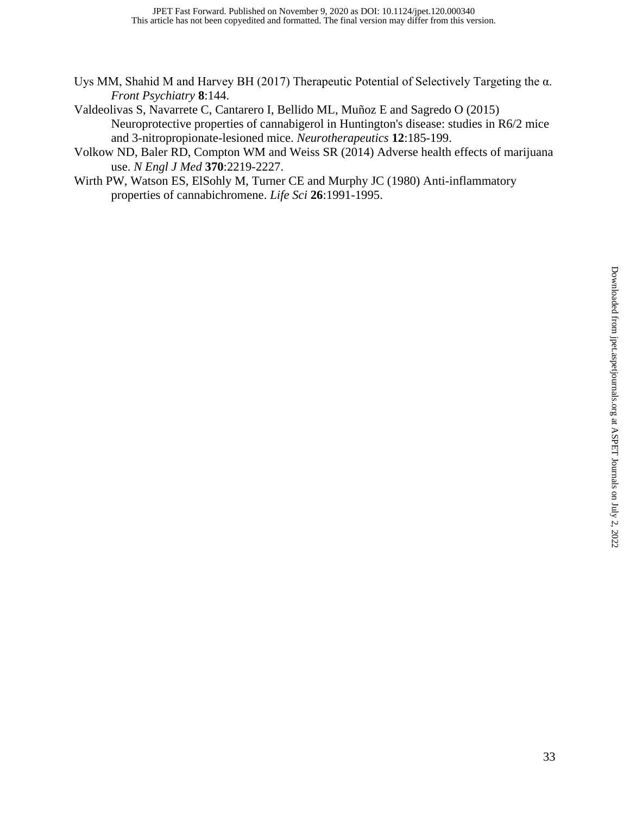- Uys MM, Shahid M and Harvey BH (2017) Therapeutic Potential of Selectively Targeting the α. *Front Psychiatry* **8**:144.
- Valdeolivas S, Navarrete C, Cantarero I, Bellido ML, Muñoz E and Sagredo O (2015) Neuroprotective properties of cannabigerol in Huntington's disease: studies in R6/2 mice and 3-nitropropionate-lesioned mice. *Neurotherapeutics* **12**:185-199.
- Volkow ND, Baler RD, Compton WM and Weiss SR (2014) Adverse health effects of marijuana use. *N Engl J Med* **370**:2219-2227.
- Wirth PW, Watson ES, ElSohly M, Turner CE and Murphy JC (1980) Anti-inflammatory properties of cannabichromene. *Life Sci* **26**:1991-1995.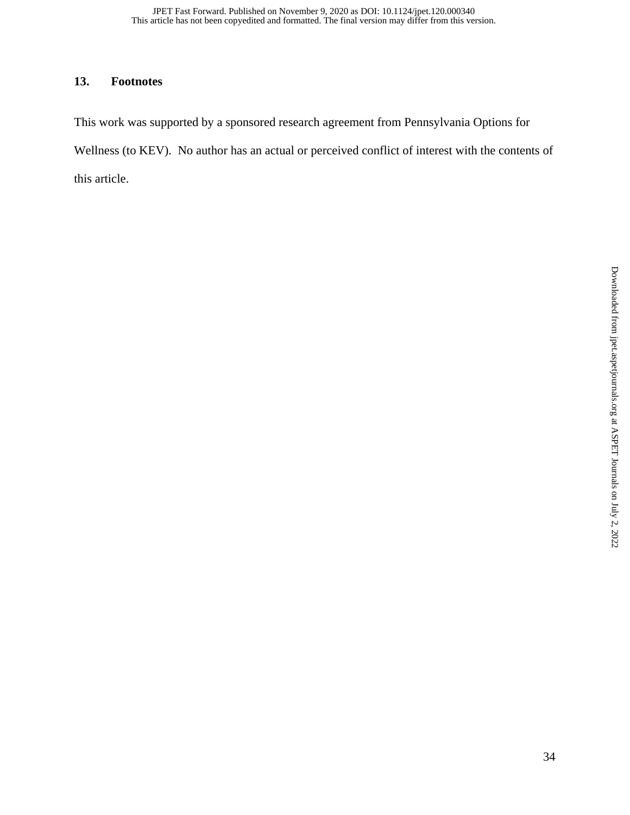## **13. Footnotes**

This work was supported by a sponsored research agreement from Pennsylvania Options for Wellness (to KEV). No author has an actual or perceived conflict of interest with the contents of this article.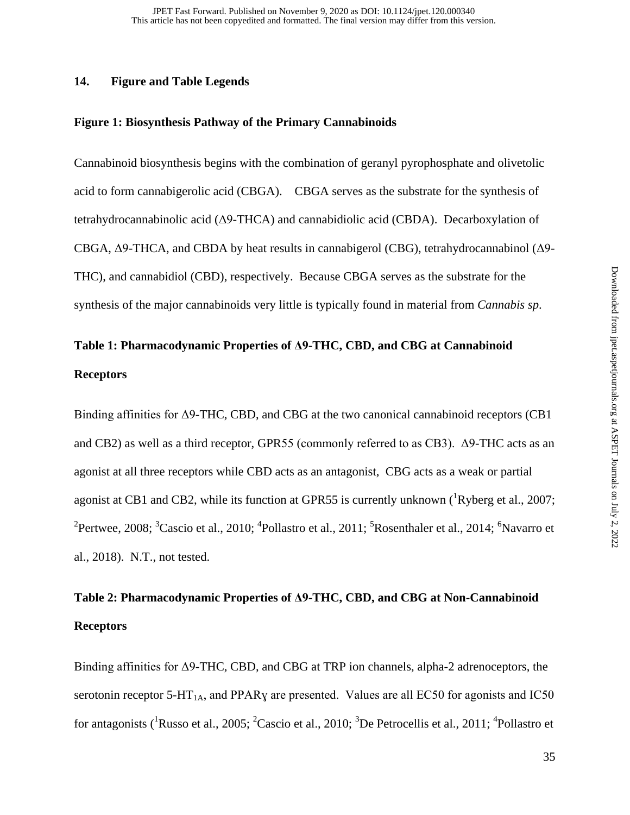#### **14. Figure and Table Legends**

#### **Figure 1: Biosynthesis Pathway of the Primary Cannabinoids**

Cannabinoid biosynthesis begins with the combination of geranyl pyrophosphate and olivetolic acid to form cannabigerolic acid (CBGA). CBGA serves as the substrate for the synthesis of tetrahydrocannabinolic acid (Δ9-THCA) and cannabidiolic acid (CBDA). Decarboxylation of CBGA, Δ9-THCA, and CBDA by heat results in cannabigerol (CBG), tetrahydrocannabinol (Δ9- THC), and cannabidiol (CBD), respectively. Because CBGA serves as the substrate for the synthesis of the major cannabinoids very little is typically found in material from *Cannabis sp*.

# **Table 1: Pharmacodynamic Properties of Δ9-THC, CBD, and CBG at Cannabinoid Receptors**

Binding affinities for Δ9-THC, CBD, and CBG at the two canonical cannabinoid receptors (CB1 and CB2) as well as a third receptor, GPR55 (commonly referred to as CB3). Δ9-THC acts as an agonist at all three receptors while CBD acts as an antagonist, CBG acts as a weak or partial agonist at CB1 and CB2, while its function at GPR55 is currently unknown  $(^1Ryberg et al., 2007;$ <sup>2</sup>Pertwee, 2008; <sup>3</sup>Cascio et al., 2010; <sup>4</sup>Pollastro et al., 2011; <sup>5</sup>Rosenthaler et al., 2014; <sup>6</sup>Navarro et al., 2018). N.T., not tested.

## **Table 2: Pharmacodynamic Properties of Δ9-THC, CBD, and CBG at Non-Cannabinoid Receptors**

Binding affinities for Δ9-THC, CBD, and CBG at TRP ion channels, alpha-2 adrenoceptors, the serotonin receptor 5-HT<sub>1A</sub>, and PPAR<sub>Y</sub> are presented. Values are all EC50 for agonists and IC50 for antagonists (<sup>1</sup>Russo et al., 2005; <sup>2</sup>Cascio et al., 2010; <sup>3</sup>De Petrocellis et al., 2011; <sup>4</sup>Pollastro et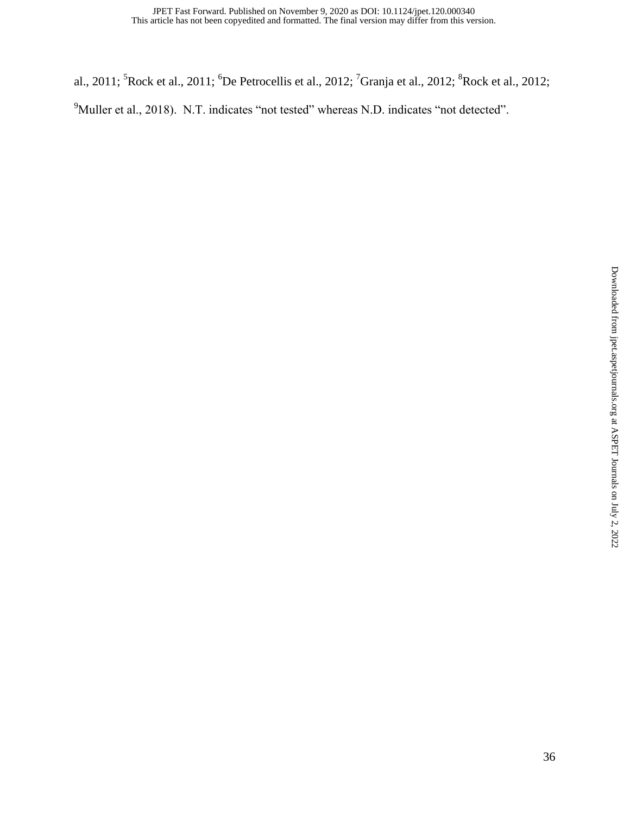al., 2011; <sup>5</sup>Rock et al., 2011; <sup>6</sup>De Petrocellis et al., 2012; <sup>7</sup>Granja et al., 2012; <sup>8</sup>Rock et al., 2012;

<sup>9</sup>Muller et al., 2018). N.T. indicates "not tested" whereas N.D. indicates "not detected".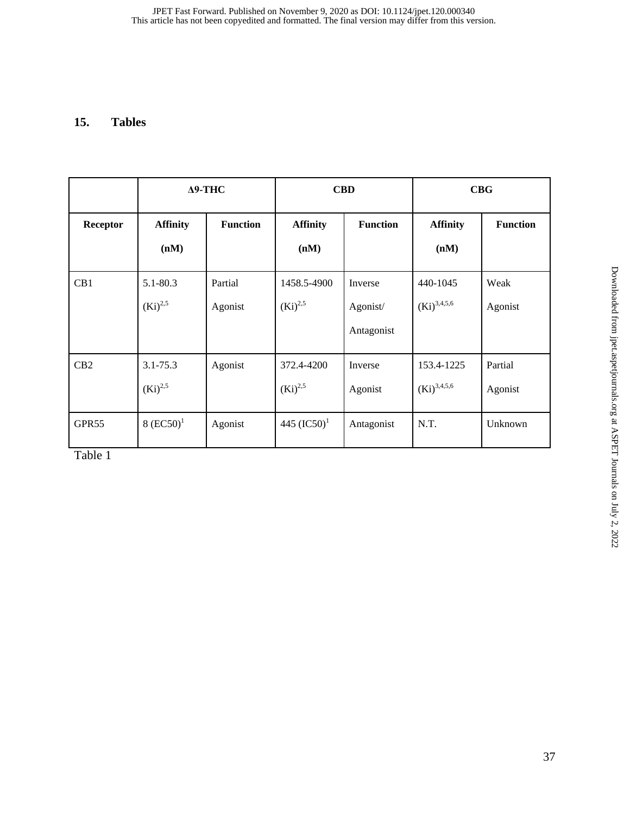## **15. Tables**

|                   | $\Delta$ 9-THC               |                    | <b>CBD</b>                  |                                   | CBG                            |                    |
|-------------------|------------------------------|--------------------|-----------------------------|-----------------------------------|--------------------------------|--------------------|
| <b>Receptor</b>   | <b>Affinity</b><br>(nM)      | <b>Function</b>    | <b>Affinity</b><br>(nM)     | <b>Function</b>                   | <b>Affinity</b><br>(nM)        | <b>Function</b>    |
| CB1               | $5.1 - 80.3$<br>$(Ki)^{2,5}$ | Partial<br>Agonist | 1458.5-4900<br>$(Ki)^{2,5}$ | Inverse<br>Agonist/<br>Antagonist | 440-1045<br>$(Ki)^{3,4,5,6}$   | Weak<br>Agonist    |
| CB2               | $3.1 - 75.3$<br>$(Ki)^{2,5}$ | Agonist            | 372.4-4200<br>$(Ki)^{2,5}$  | Inverse<br>Agonist                | 153.4-1225<br>$(Ki)^{3,4,5,6}$ | Partial<br>Agonist |
| GPR <sub>55</sub> | $8 (EC50)^1$                 | Agonist            | 445 $(IC50)^1$              | Antagonist                        | N.T.                           | Unknown            |

Table 1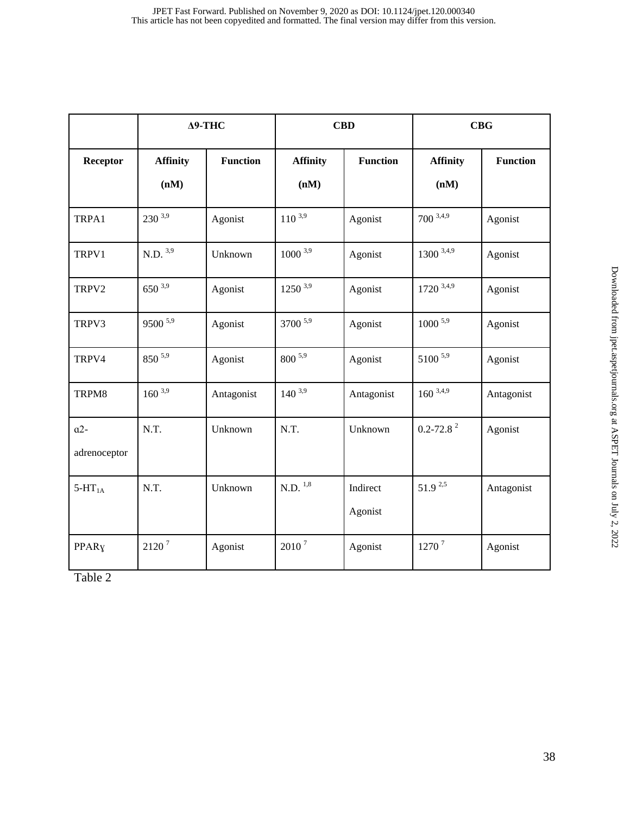|                   | $\Delta$ 9-THC        |            | <b>CBD</b>            |                 | CBG                       |                 |
|-------------------|-----------------------|------------|-----------------------|-----------------|---------------------------|-----------------|
| Receptor          | <b>Affinity</b>       | Function   | <b>Affinity</b>       | <b>Function</b> | <b>Affinity</b>           | <b>Function</b> |
|                   | (nM)                  |            | (nM)                  |                 | (nM)                      |                 |
| TRPA1             | $230^{3,9}$           | Agonist    | $110^{3,9}$           | Agonist         | $700^{3,4,9}$             | Agonist         |
| TRPV1             | $N.D.$ <sup>3,9</sup> | Unknown    | $1000^{3,9}$          | Agonist         | $1300^{3,4,9}$            | Agonist         |
| TRPV2             | $650^{3,9}$           | Agonist    | $1250^{3,9}$          | Agonist         | $1720$ 3,4,9              | Agonist         |
| TRPV3             | $9500$ <sup>5,9</sup> | Agonist    | 3700 5,9              | Agonist         | $1000$ <sup>5,9</sup>     | Agonist         |
| TRPV4             | $850^{5,9}$           | Agonist    | $800^{5,9}$           | Agonist         | 5100 5,9                  | Agonist         |
| TRPM8             | $160^{3,9}$           | Antagonist | $140^{3,9}$           | Antagonist      | $160^{3,4,9}$             | Antagonist      |
| $a2-$             | N.T.                  | Unknown    | N.T.                  | Unknown         | $0.2 - 72.8$ <sup>2</sup> | Agonist         |
| adrenoceptor      |                       |            |                       |                 |                           |                 |
| $5-HT_{1A}$       | N.T.                  | Unknown    | $N.D.$ <sup>1,8</sup> | Indirect        | $51.9^{2,5}$              | Antagonist      |
|                   |                       |            |                       | Agonist         |                           |                 |
| PPAR <sub>Y</sub> | $2120$ $^7$           | Agonist    | 2010 <sup>7</sup>     | Agonist         | 1270 <sup>7</sup>         | Agonist         |

Table 2